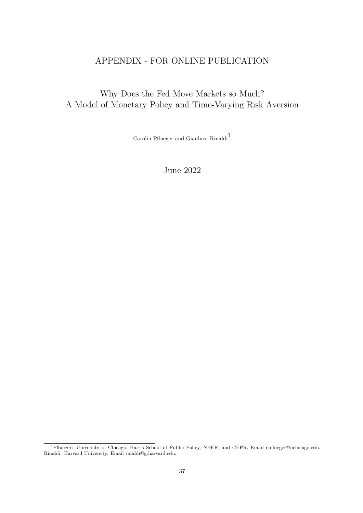# APPENDIX - FOR ONLINE PUBLICATION

# Why Does the Fed Move Markets so Much? A Model of Monetary Policy and Time-Varying Risk Aversion

Carolin Pflueger and Gianluca $\mathrm{Rinaldi}^1$ 

June 2022

<sup>&</sup>lt;sup>1</sup>Pflueger: University of Chicago, Harris School of Public Policy, NBER, and CEPR. Email cpflueger@uchicago.edu. Rinaldi: Harvard University. Email rinaldi@g.harvard.edu.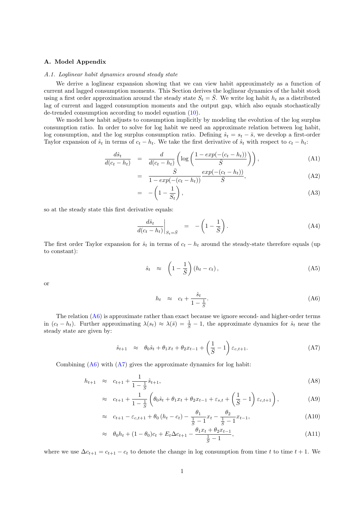# A. Model Appendix

### A.1. Loglinear habit dynamics around steady state

We derive a loglinear expansion showing that we can view habit approximately as a function of current and lagged consumption moments. This Section derives the loglinear dynamics of the habit stock using a first order approximation around the steady state  $S_t = \overline{S}$ . We write log habit  $h_t$  as a distributed lag of current and lagged consumption moments and the output gap, which also equals stochastically de-trended consumption according to model equation (10).

We model how habit adjusts to consumption implicitly by modeling the evolution of the log surplus consumption ratio. In order to solve for log habit we need an approximate relation between log habit, log consumption, and the log surplus consumption ratio. Defining  $\hat{s}_t = s_t - \bar{s}$ , we develop a first-order Taylor expansion of  $\hat{s}_t$  in terms of  $c_t - h_t$ . We take the first derivative of  $\hat{s}_t$  with respect to  $c_t - h_t$ :

$$
\frac{d\hat{s}_t}{d(c_t - h_t)} = \frac{d}{d(c_t - h_t)} \left( \log \left( \frac{1 - exp(-(c_t - h_t))}{\bar{S}} \right) \right),\tag{A1}
$$

$$
= \frac{\bar{S}}{1 - exp(-(c_t - h_t))} \frac{exp(-(c_t - h_t))}{\bar{S}}, \tag{A2}
$$

$$
-\left(1-\frac{1}{S_t}\right),\tag{A3}
$$

so at the steady state this first derivative equals:

= −

$$
\left. \frac{d\hat{s}_t}{d(c_t - h_t)} \right|_{S_t = \bar{S}} = -\left(1 - \frac{1}{\bar{S}}\right). \tag{A4}
$$

The first order Taylor expansion for  $\hat{s}_t$  in terms of  $c_t - h_t$  around the steady-state therefore equals (up to constant):

$$
\hat{s}_t \approx \left(1 - \frac{1}{\bar{S}}\right) (h_t - c_t), \tag{A5}
$$

or

$$
h_t \approx c_t + \frac{\hat{s}_t}{1 - \frac{1}{\bar{S}}}.\tag{A6}
$$

The relation  $(A6)$  is approximate rather than exact because we ignore second- and higher-order terms in  $(c_t - h_t)$ . Further approximating  $\lambda(s_t) \approx \lambda(\bar{s}) = \frac{1}{\bar{s}} - 1$ , the approximate dynamics for  $\hat{s}_t$  near the steady state are given by:

$$
\hat{s}_{t+1} \approx \theta_0 \hat{s}_t + \theta_1 x_t + \theta_2 x_{t-1} + \left(\frac{1}{\bar{S}} - 1\right) \varepsilon_{c,t+1}.
$$
 (A7)

Combining  $(A6)$  with  $(A7)$  gives the approximate dynamics for log habit:

$$
h_{t+1} \approx c_{t+1} + \frac{1}{1 - \frac{1}{S}} \hat{s}_{t+1}, \tag{A8}
$$

$$
\approx c_{t+1} + \frac{1}{1 - \frac{1}{\tilde{S}}} \left( \theta_0 \hat{s}_t + \theta_1 x_t + \theta_2 x_{t-1} + \varepsilon_{s,t} + \left( \frac{1}{\tilde{S}} - 1 \right) \varepsilon_{c,t+1} \right), \tag{A9}
$$

$$
\approx c_{t+1} - \varepsilon_{c,t+1} + \theta_0 (h_t - c_t) - \frac{\theta_1}{\frac{1}{\overline{S}} - 1} x_t - \frac{\theta_2}{\frac{1}{\overline{S}} - 1} x_{t-1},
$$
\n(A10)

$$
\approx \theta_0 h_t + (1 - \theta_0)c_t + E_t \Delta c_{t+1} - \frac{\theta_1 x_t + \theta_2 x_{t-1}}{\frac{1}{S} - 1},
$$
\n(A11)

where we use  $\Delta c_{t+1} = c_{t+1} - c_t$  to denote the change in log consumption from time t to time  $t + 1$ . We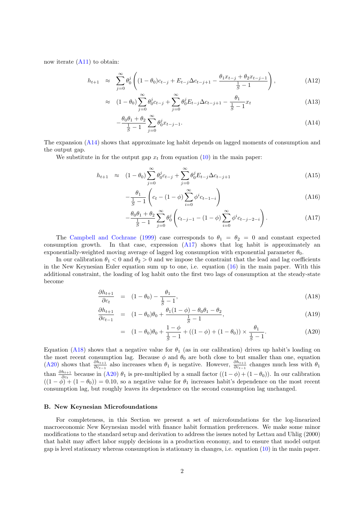now iterate  $(A11)$  to obtain:

$$
h_{t+1} \approx \sum_{j=0}^{\infty} \theta_0^j \left( (1 - \theta_0)c_{t-j} + E_{t-j} \Delta c_{t-j+1} - \frac{\theta_1 x_{t-j} + \theta_2 x_{t-j-1}}{\frac{1}{\overline{S}} - 1} \right), \tag{A12}
$$

$$
\approx (1 - \theta_0) \sum_{j=0}^{\infty} \theta_0^j c_{t-j} + \sum_{j=0}^{\infty} \theta_0^j E_{t-j} \Delta c_{t-j+1} - \frac{\theta_1}{\frac{1}{\bar{S}} - 1} x_t
$$
\n(A13)

$$
-\frac{\theta_0 \theta_1 + \theta_2}{\frac{1}{\overline{S}} - 1} \sum_{j=0}^{\infty} \theta_0^j x_{t-j-1}.
$$
\n(A14)

The expansion (A14) shows that approximate log habit depends on lagged moments of consumption and the output gap.

We substitute in for the output gap  $x_t$  from equation (10) in the main paper:

$$
h_{t+1} \approx (1 - \theta_0) \sum_{j=0}^{\infty} \theta_0^j c_{t-j} + \sum_{j=0}^{\infty} \theta_0^j E_{t-j} \Delta c_{t-j+1}
$$
 (A15)

$$
-\frac{\theta_1}{\frac{1}{S}-1}\left(c_t - (1-\phi)\sum_{i=0}^{\infty} \phi^i c_{t-1-i}\right)
$$
\n(A16)

$$
-\frac{\theta_0 \theta_1 + \theta_2}{\frac{1}{5} - 1} \sum_{j=0}^{\infty} \theta_0^j \left( c_{t-j-1} - (1 - \phi) \sum_{i=0}^{\infty} \phi^i c_{t-j-2-i} \right).
$$
 (A17)

The Campbell and Cochrane (1999) case corresponds to  $\theta_1 = \theta_2 = 0$  and constant expected consumption growth. In that case, expression (A17) shows that log habit is approximately an exponentially-weighted moving average of lagged log consumption with exponential parameter  $\theta_0$ .

In our calibration  $\theta_1 < 0$  and  $\theta_2 > 0$  and we impose the constraint that the lead and lag coefficients in the New Keynesian Euler equation sum up to one, i.e. equation (16) in the main paper. With this additional constraint, the loading of log habit onto the first two lags of consumption at the steady-state become

$$
\frac{\partial h_{t+1}}{\partial c_t} = (1 - \theta_0) - \frac{\theta_1}{\frac{1}{\overline{S}} - 1},\tag{A18}
$$

$$
\frac{\partial h_{t+1}}{\partial c_{t-1}} = (1 - \theta_0)\theta_0 + \frac{\theta_1(1 - \phi) - \theta_0\theta_1 - \theta_2}{\frac{1}{\overline{S}} - 1},\tag{A19}
$$

$$
= (1 - \theta_0)\theta_0 + \frac{1 - \phi}{\frac{1}{\overline{S}} - 1} + ((1 - \phi) + (1 - \theta_0)) \times \frac{\theta_1}{\frac{1}{\overline{S}} - 1}.
$$
 (A20)

Equation (A18) shows that a negative value for  $\theta_1$  (as in our calibration) drives up habit's loading on the most recent consumption lag. Because  $\phi$  and  $\theta_0$  are both close to but smaller than one, equation (A20) shows that  $\frac{\partial h_{t+1}}{\partial c_{t-1}}$  also increases when  $\theta_1$  is negative. However,  $\frac{\partial h_{t+1}}{\partial c_{t-1}}$  changes much less with  $\theta_1$ than  $\frac{\partial h_{t+1}}{\partial c_t}$  because in (A20)  $\theta_1$  is pre-multiplied by a small factor  $((1 - \phi) + (1 - \theta_0))$ . In our calibration  $((1 - \phi)^+ + (1 - \theta_0)) = 0.10$ , so a negative value for  $\theta_1$  increases habit's dependence on the most recent consumption lag, but roughly leaves its dependence on the second consumption lag unchanged.

# B. New Keynesian Microfoundations

For completeness, in this Section we present a set of microfoundations for the log-linearized macroeconomic New Keynesian model with finance habit formation preferences. We make some minor modifications to the standard setup and derivation to address the issues noted by Lettau and Uhlig (2000) that habit may affect labor supply decisions in a production economy, and to ensure that model output gap is level stationary whereas consumption is stationary in changes, i.e. equation (10) in the main paper.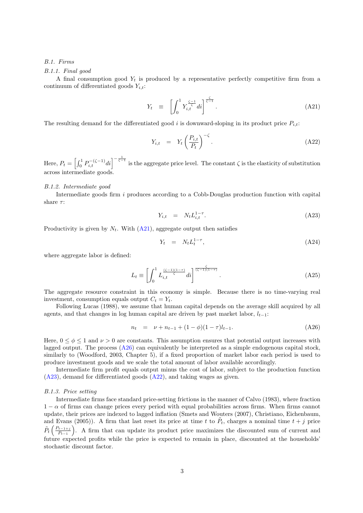# B.1. Firms

### B.1.1. Final good

A final consumption good  $Y_t$  is produced by a representative perfectly competitive firm from a continuum of differentiated goods  $Y_{i,t}$ :

$$
Y_t \equiv \left[ \int_0^1 Y_{i,t}^{\frac{\zeta-1}{\zeta}} di \right]^{\frac{\zeta}{\zeta-1}}.
$$
\n(A21)

The resulting demand for the differentiated good i is downward-sloping in its product price  $P_{i,t}$ :

$$
Y_{i,t} = Y_t \left(\frac{P_{i,t}}{P_t}\right)^{-\zeta}.
$$
\n(A22)

Here,  $P_t = \left[\int_0^1 P_{i,t}^{-(\zeta-1)}di\right]^{-\frac{1}{\zeta-1}}$  is the aggregate price level. The constant  $\zeta$  is the elasticity of substitution across intermediate goods.

#### B.1.2. Intermediate good

Intermediate goods firm i produces according to a Cobb-Douglas production function with capital share  $\tau$ :

$$
Y_{i,t} = N_t L_{i,t}^{1-\tau}.
$$
\n(A23)

Productivity is given by  $N_t$ . With  $(A21)$ , aggregate output then satisfies

$$
Y_t = N_t L_t^{1-\tau}, \tag{A24}
$$

where aggregate labor is defined:

$$
L_t \equiv \left[ \int_0^1 L_{i,t}^{\frac{(\zeta - 1)(1-\tau)}{\zeta}} di \right]^{\frac{\zeta}{(\zeta - 1)(1-\tau)}}.
$$
\n(A25)

The aggregate resource constraint in this economy is simple. Because there is no time-varying real investment, consumption equals output  $C_t = Y_t$ .

Following Lucas (1988), we assume that human capital depends on the average skill acquired by all agents, and that changes in log human capital are driven by past market labor,  $l_{t-1}$ :

$$
n_t = \nu + n_{t-1} + (1 - \phi)(1 - \tau)l_{t-1}.
$$
 (A26)

Here,  $0 \le \phi \le 1$  and  $\nu > 0$  are constants. This assumption ensures that potential output increases with lagged output. The process (A26) can equivalently be interpreted as a simple endogenous capital stock, similarly to (Woodford, 2003, Chapter 5), if a fixed proportion of market labor each period is used to produce investment goods and we scale the total amount of labor available accordingly.

Intermediate firm profit equals output minus the cost of labor, subject to the production function (A23), demand for differentiated goods (A22), and taking wages as given.

# B.1.3. Price setting

Intermediate firms face standard price-setting frictions in the manner of Calvo (1983), where fraction  $1 - \alpha$  of firms can change prices every period with equal probabilities across firms. When firms cannot update, their prices are indexed to lagged inflation (Smets and Wouters (2007), Christiano, Eichenbaum, and Evans (2005)). A firm that last reset its price at time t to  $\tilde{P}_t$ , charges a nominal time  $t + j$  price  $\tilde{P}_t\left(\frac{P_{t-1+j}}{P_{t-1}}\right)$  $\left(\frac{P_{t-1+j}}{P_{t-1}}\right)$ . A firm that can update its product price maximizes the discounted sum of current and future expected profits while the price is expected to remain in place, discounted at the households' stochastic discount factor.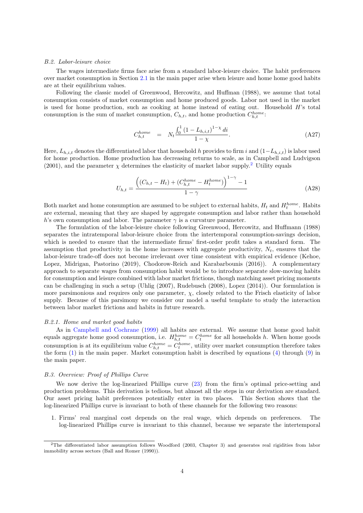#### B.2. Labor-leisure choice

The wages intermediate firms face arise from a standard labor-leisure choice. The habit preferences over market consumption in Section 2.1 in the main paper arise when leisure and home home good habits are at their equilibrium values.

Following the classic model of Greenwood, Hercowitz, and Huffman (1988), we assume that total consumption consists of market consumption and home produced goods. Labor not used in the market is used for home production, such as cooking at home instead of eating out. Household  $H$ 's total consumption is the sum of market consumption,  $C_{h,t}$ , and home production  $C_{h,t}^{home}$ .

$$
C_{h,t}^{home} = N_t \frac{\int_0^1 (1 - L_{h,i,t})^{1 - \chi} dt}{1 - \chi}.
$$
\n(A27)

Here,  $L_{h,i,t}$  denotes the differentiated labor that household h provides to firm i and  $(1-L_{h,i,t})$  is labor used for home production. Home production has decreasing returns to scale, as in Campbell and Ludvigson (2001), and the parameter  $\chi$  determines the elasticity of market labor supply.<sup>2</sup> Utility equals

$$
U_{h,t} = \frac{((C_{h,t} - H_t) + (C_{h,t}^{home} - H_t^{home}))^{1-\gamma} - 1}{1-\gamma}
$$
 (A28)

Both market and home consumption are assumed to be subject to external habits,  $H_t$  and  $H_t^{home}$ . Habits are external, meaning that they are shaped by aggregate consumption and labor rather than household h's own consumption and labor. The parameter  $\gamma$  is a curvature parameter.

The formulation of the labor-leisure choice following Greenwood, Hercowitz, and Huffmann (1988) separates the intratemporal labor-leisure choice from the intertemporal consumption-savings decision, which is needed to ensure that the intermediate firms' first-order profit takes a standard form. The assumption that productivity in the home increases with aggregate productivity,  $N_t$ , ensures that the labor-leisure trade-off does not become irrelevant over time consistent with empirical evidence (Kehoe, Lopez, Midrigan, Pastorino (2019), Chodorow-Reich and Karabarbounis (2016)). A complementary approach to separate wages from consumption habit would be to introduce separate slow-moving habits for consumption and leisure combined with labor market frictions, though matching asset pricing moments can be challenging in such a setup (Uhlig (2007), Rudebusch (2008), Lopez (2014)). Our formulation is more parsimonious and requires only one parameter,  $\chi$ , closely related to the Frisch elasticity of labor supply. Because of this parsimony we consider our model a useful template to study the interaction between labor market frictions and habits in future research.

#### B.2.1. Home and market good habits

As in Campbell and Cochrane (1999) all habits are external. We assume that home good habit equals aggregate home good consumption, i.e.  $H_{h,t}^{home} = C_t^{home}$  for all households h. When home goods consumption is at its equilibrium value  $C_{h,t}^{home} = C_t^{home}$ , utility over market consumption therefore takes the form (1) in the main paper. Market consumption habit is described by equations (4) through (9) in the main paper.

## B.3. Overview: Proof of Phillips Curve

We now derive the log-linearized Phillips curve  $(23)$  from the firm's optimal price-setting and production problems. This derivation is tedious, but almost all the steps in our derivation are standard. Our asset pricing habit preferences potentially enter in two places. This Section shows that the log-linearized Phillips curve is invariant to both of these channels for the following two reasons:

1. Firms' real marginal cost depends on the real wage, which depends on preferences. The log-linearized Phillips curve is invariant to this channel, because we separate the intertemporal

<sup>2</sup>The differentiated labor assumption follows Woodford (2003, Chapter 3) and generates real rigidities from labor immobility across sectors (Ball and Romer (1990)).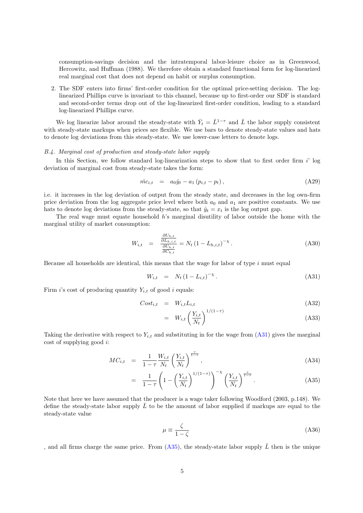consumption-savings decision and the intratemporal labor-leisure choice as in Greenwood, Hercowitz, and Huffman (1988). We therefore obtain a standard functional form for log-linearized real marginal cost that does not depend on habit or surplus consumption.

2. The SDF enters into firms' first-order condition for the optimal price-setting decision. The loglinearized Phillips curve is invariant to this channel, because up to first-order our SDF is standard and second-order terms drop out of the log-linearized first-order condition, leading to a standard log-linearized Phillips curve.

We log linearize labor around the steady-state with  $\bar{Y}_t = \bar{L}^{1-\tau}$  and  $\bar{L}$  the labor supply consistent with steady-state markups when prices are flexible. We use bars to denote steady-state values and hats to denote log deviations from this steady-state. We use lower-case letters to denote logs.

### B.4. Marginal cost of production and steady-state labor supply

In this Section, we follow standard log-linearization steps to show that to first order firm  $i'$  log deviation of marginal cost from steady-state takes the form:

$$
\hat{mc}_{i,t} = a_0 \hat{y}_t - a_1 (p_{i,t} - p_t), \qquad (A29)
$$

i.e. it increases in the log deviation of output from the steady state, and decreases in the log own-firm price deviation from the log aggregate price level where both  $a_0$  and  $a_1$  are positive constants. We use hats to denote log deviations from the steady-state, so that  $\hat{y}_t = x_t$  is the log output gap.

The real wage must equate household h's marginal disutility of labor outside the home with the marginal utility of market consumption:

$$
W_{i,t} = \frac{\frac{\partial U_{h,t}}{\partial L_{h,i,t}}}{\frac{\partial U_{h,t}}{\partial C_{h,t}}} = N_t (1 - L_{h,i,t})^{-\chi}.
$$
 (A30)

Because all households are identical, this means that the wage for labor of type  $i$  must equal

$$
W_{i,t} = N_t (1 - L_{i,t})^{-\chi}.
$$
\n(A31)

Firm *i*'s cost of producing quantity  $Y_{i,t}$  of good *i* equals:

$$
Cost_{i,t} = W_{i,t} L_{i,t} \tag{A32}
$$

$$
= W_{i,t} \left(\frac{Y_{i,t}}{N_t}\right)^{1/(1-\tau)}
$$
\n(A33)

Taking the derivative with respect to  $Y_{i,t}$  and substituting in for the wage from (A31) gives the marginal cost of supplying good i:

$$
MC_{i,t} = \frac{1}{1-\tau} \frac{W_{i,t}}{N_t} \left(\frac{Y_{i,t}}{N_t}\right)^{\frac{\tau}{1-\tau}},
$$
\n(A34)

$$
= \frac{1}{1-\tau} \left( 1 - \left( \frac{Y_{i,t}}{N_t} \right)^{1/(1-\tau)} \right)^{-\chi} \left( \frac{Y_{i,t}}{N_t} \right)^{\frac{\tau}{1-\tau}}.
$$
 (A35)

Note that here we have assumed that the producer is a wage taker following Woodford (2003, p.148). We define the steady-state labor supply  $L$  to be the amount of labor supplied if markups are equal to the steady-state value

$$
\mu \equiv \frac{\zeta}{1 - \zeta} \tag{A36}
$$

, and all firms charge the same price. From (A35), the steady-state labor supply  $\bar{L}$  then is the unique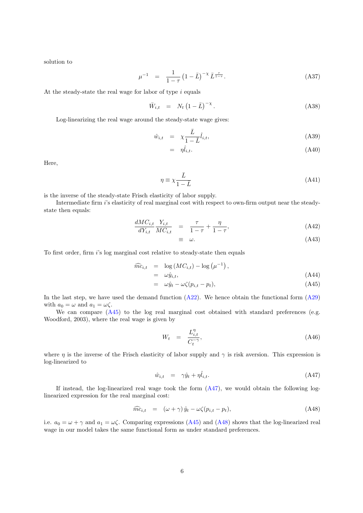solution to

$$
\mu^{-1} = \frac{1}{1-\tau} \left(1 - \bar{L}\right)^{-\chi} \bar{L}^{\frac{\tau}{1-\tau}}.
$$
\n(A37)

At the steady-state the real wage for labor of type  $i$  equals

$$
\bar{W}_{i,t} = N_t \left(1 - \bar{L}\right)^{-\chi}.
$$
\n(A38)

Log-linearizing the real wage around the steady-state wage gives:

$$
\hat{w}_{i,t} = \chi \frac{\bar{L}}{1 - \bar{L}} \hat{l}_{i,t}, \tag{A39}
$$

$$
= \eta \hat{l}_{i,t}.\tag{A40}
$$

Here,

$$
\eta \equiv \chi \frac{\bar{L}}{1 - \bar{L}} \tag{A41}
$$

is the inverse of the steady-state Frisch elasticity of labor supply.

Intermediate firm i's elasticity of real marginal cost with respect to own-firm output near the steadystate then equals:

$$
\frac{dMC_{i,t}}{dY_{i,t}} \frac{Y_{i,t}}{MC_{i,t}} = \frac{\tau}{1-\tau} + \frac{\eta}{1-\tau},\tag{A42}
$$

$$
\equiv \quad \omega. \tag{A43}
$$

To first order, firm i's log marginal cost relative to steady-state then equals

$$
\widehat{mc}_{i,t} = \log(MC_{i,t}) - \log(\mu^{-1}),
$$

$$
= \omega \hat{y}_{i,t},
$$
  
\n
$$
= \omega \hat{y}_t - \omega \zeta (p_{i,t} - p_t),
$$
\n(A44)  
\n(A45)

In the last step, we have used the demand function (A22). We hence obtain the functional form (A29) with 
$$
a_0 = \omega
$$
 and  $a_1 = \omega \zeta$ .

We can compare  $(A45)$  to the log real marginal cost obtained with standard preferences (e.g. Woodford, 2003), where the real wage is given by

$$
W_t = \frac{L_{i,t}^{\eta}}{C_t^{-\gamma}}, \tag{A46}
$$

where  $\eta$  is the inverse of the Frisch elasticity of labor supply and  $\gamma$  is risk aversion. This expression is log-linearized to

$$
\hat{w}_{i,t} = \gamma \hat{y}_t + \eta \hat{l}_{i,t}.\tag{A47}
$$

If instead, the log-linearized real wage took the form (A47), we would obtain the following loglinearized expression for the real marginal cost:

$$
\widehat{mc}_{i,t} = (\omega + \gamma) \widehat{y}_t - \omega \zeta (p_{i,t} - p_t), \tag{A48}
$$

i.e.  $a_0 = \omega + \gamma$  and  $a_1 = \omega \zeta$ . Comparing expressions (A45) and (A48) shows that the log-linearized real wage in our model takes the same functional form as under standard preferences.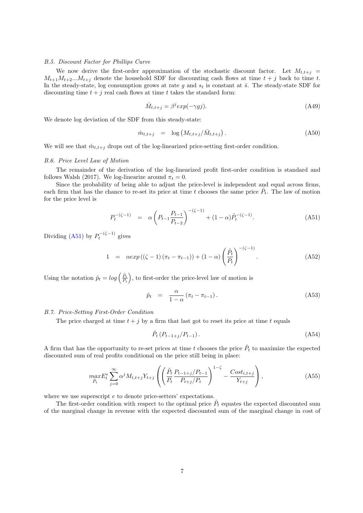### B.5. Discount Factor for Phillips Curve

We now derive the first-order approximation of the stochastic discount factor. Let  $M_{t,t+j}$  =  $M_{t+1}M_{t+2}...M_{t+j}$  denote the household SDF for discounting cash flows at time  $t+j$  back to time t. In the steady-state, log consumption grows at rate g and  $s_t$  is constant at  $\bar{s}$ . The steady-state SDF for discounting time  $t + j$  real cash flows at time t takes the standard form:

$$
\bar{M}_{t,t+j} = \beta^j exp(-\gamma gj). \tag{A49}
$$

We denote log deviation of the SDF from this steady-state:

$$
\hat{m}_{t,t+j} = \log \left( M_{t,t+j} / \bar{M}_{t,t+j} \right). \tag{A50}
$$

We will see that  $\hat{m}_{t,t+i}$  drops out of the log-linearized price-setting first-order condition.

# B.6. Price Level Law of Motion

The remainder of the derivation of the log-linearized profit first-order condition is standard and follows Walsh (2017). We log-linearize around  $\pi_t = 0$ .

Since the probability of being able to adjust the price-level is independent and equal across firms, each firm that has the chance to re-set its price at time t chooses the same price  $\tilde{P}_t$ . The law of motion for the price level is

$$
P_t^{-(\zeta-1)} = \alpha \left( P_{t-1} \frac{P_{t-1}}{P_{t-2}} \right)^{-(\zeta-1)} + (1-\alpha) \tilde{P}_t^{-(\zeta-1)}.
$$
 (A51)

Dividing (A51) by  $P_t^{-(\zeta-1)}$  gives

$$
1 = \alpha exp ((\zeta - 1) (\pi_t - \pi_{t-1})) + (1 - \alpha) \left(\frac{\tilde{P}_t}{P_t}\right)^{-(\zeta - 1)}.
$$
 (A52)

Using the notation  $\tilde{p}_t = log\left(\frac{\tilde{P}_t}{P_t}\right)$ , to first-order the price-level law of motion is

$$
\tilde{p}_t = \frac{\alpha}{1 - \alpha} (\pi_t - \pi_{t-1}). \tag{A53}
$$

# B.7. Price-Setting First-Order Condition

The price charged at time  $t + j$  by a firm that last got to reset its price at time t equals

$$
\tilde{P}_t \left( P_{t-1+j} / P_{t-1} \right). \tag{A54}
$$

A firm that has the opportunity to re-set prices at time t chooses the price  $\tilde{P}_t$  to maximize the expected discounted sum of real profits conditional on the price still being in place:

$$
\max_{\tilde{P}_t} E_t^e \sum_{j=0}^{\infty} \alpha^j M_{t,t+j} Y_{t+j} \left( \left( \frac{\tilde{P}_t}{P_t} \frac{P_{t-1+j}/P_{t-1}}{P_{t+j}/P_t} \right)^{1-\zeta} - \frac{Cost_{i,t+j}}{Y_{t+j}} \right), \tag{A55}
$$

where we use superscript  $e$  to denote price-setters' expectations.

The first-order condition with respect to the optimal price  $\tilde{P}_t$  equates the expected discounted sum of the marginal change in revenue with the expected discounted sum of the marginal change in cost of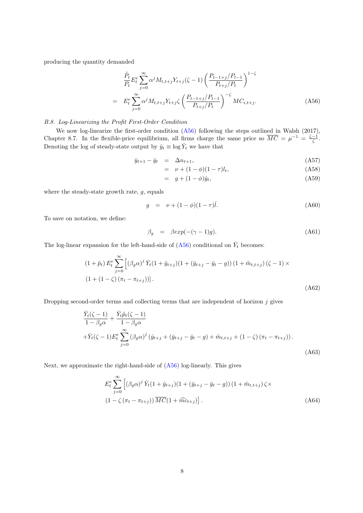producing the quantity demanded

$$
\frac{\tilde{P}_t}{P_t} E_t^e \sum_{j=0}^{\infty} \alpha^j M_{t,t+j} Y_{t+j} (\zeta - 1) \left( \frac{P_{t-1+j}/P_{t-1}}{P_{t+j}/P_t} \right)^{1-\zeta}
$$
\n
$$
= E_t^e \sum_{j=0}^{\infty} \alpha^j M_{t,t+j} Y_{t+j} \zeta \left( \frac{P_{t-1+j}/P_{t-1}}{P_{t+j}/P_t} \right)^{-\zeta} M C_{i,t+j}.
$$
\n(A56)

# B.8. Log-Linearizing the Profit First-Order Condition

We now log-linearize the first-order condition (A56) following the steps outlined in Walsh (2017), Chapter 8.7. In the flexible-price equilibrium, all firms charge the same price so  $\overline{MC} = \mu^{-1} = \frac{\zeta - 1}{\zeta}$ . Denoting the log of steady-state output by  $\bar{y}_t \equiv \log \bar{Y}_t$  we have that

$$
\bar{y}_{t+1} - \bar{y}_t = \Delta n_{t+1},\tag{A57}
$$

$$
= \nu + (1 - \phi)(1 - \tau)l_t,
$$
 (A58)

$$
= g + (1 - \phi)\hat{y}_t, \tag{A59}
$$

where the steady-state growth rate,  $g$ , equals

$$
g = \nu + (1 - \phi)(1 - \tau)\bar{l}.\tag{A60}
$$

To save on notation, we define:

$$
\beta_g = \beta \exp(-(\gamma - 1)g). \tag{A61}
$$

The log-linear expansion for the left-hand-side of  $(A56)$  conditional on  $\bar{Y}_t$  becomes:

$$
(1 + \tilde{p}_t) E_t^e \sum_{j=0}^{\infty} \left[ (\beta_g \alpha)^j \bar{Y}_t (1 + \hat{y}_{t+j}) (1 + (\bar{y}_{t+j} - \bar{y}_t - g)) (1 + \hat{m}_{t,t+j}) (\zeta - 1) \times (1 + (1 - \zeta) (\pi_t - \pi_{t+j})) \right].
$$
\n(A62)

Dropping second-order terms and collecting terms that are independent of horizon  $j$  gives

$$
\frac{\bar{Y}_{t}(\zeta - 1)}{1 - \beta_{g}\alpha} + \frac{\bar{Y}_{t}\tilde{p}_{t}(\zeta - 1)}{1 - \beta_{g}\alpha} \n+ \bar{Y}_{t}(\zeta - 1)E_{t}^{e} \sum_{j=0}^{\infty} (\beta_{g}\alpha)^{j} (\hat{y}_{t+j} + (\bar{y}_{t+j} - \bar{y}_{t} - g) + \hat{m}_{t,t+j} + (1 - \zeta) (\pi_{t} - \pi_{t+j})).
$$
\n(A63)

Next, we approximate the right-hand-side of (A56) log-linearly. This gives

$$
E_t^e \sum_{j=0}^{\infty} \left[ (\beta_g \alpha)^j \bar{Y}_t (1 + \hat{y}_{t+j}) (1 + (\bar{y}_{t+j} - \bar{y}_t - g)) (1 + \hat{m}_{t,t+j}) \zeta \times (1 - \zeta (\pi_t - \pi_{t+j})) \overline{MC} (1 + \widehat{mc}_{t+j}) \right].
$$
\n(A64)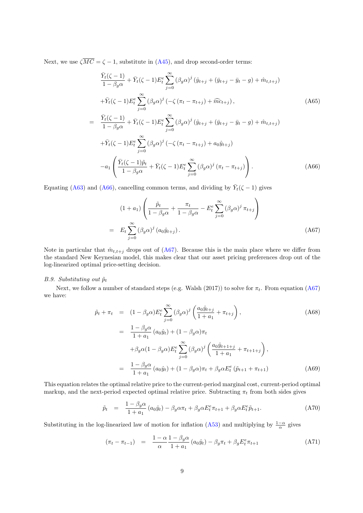Next, we use  $\zeta \overline{MC} = \zeta - 1$ , substitute in (A45), and drop second-order terms:

$$
\frac{\bar{Y}_{t}(\zeta - 1)}{1 - \beta_{g}\alpha} + \bar{Y}_{t}(\zeta - 1)E_{t}^{e} \sum_{j=0}^{\infty} (\beta_{g}\alpha)^{j} (\hat{y}_{t+j} + (\bar{y}_{t+j} - \bar{y}_{t} - g) + \hat{m}_{t,t+j})
$$
\n
$$
+ \bar{Y}_{t}(\zeta - 1)E_{t}^{e} \sum_{j=0}^{\infty} (\beta_{g}\alpha)^{j} (-\zeta (\pi_{t} - \pi_{t+j}) + \widehat{m}c_{t+j}),
$$
\n(A65)\n
$$
= \frac{\bar{Y}_{t}(\zeta - 1)}{1 - \beta_{g}\alpha} + \bar{Y}_{t}(\zeta - 1)E_{t}^{e} \sum_{j=0}^{\infty} (\beta_{g}\alpha)^{j} (\hat{y}_{t+j} + (\bar{y}_{t+j} - \bar{y}_{t} - g) + \hat{m}_{t,t+j})
$$
\n
$$
+ \bar{Y}_{t}(\zeta - 1)E_{t}^{e} \sum_{j=0}^{\infty} (\beta_{g}\alpha)^{j} (-\zeta (\pi_{t} - \pi_{t+j}) + a_{0}\hat{y}_{t+j})
$$
\n
$$
-a_{1} \left( \frac{\bar{Y}_{t}(\zeta - 1)\tilde{p}_{t}}{1 - \beta_{g}\alpha} + \bar{Y}_{t}(\zeta - 1)E_{t}^{e} \sum_{j=0}^{\infty} (\beta_{g}\alpha)^{j} (\pi_{t} - \pi_{t+j}) \right).
$$
\n(A66)

Equating (A63) and (A66), cancelling common terms, and dividing by  $\bar{Y}_t(\zeta - 1)$  gives

$$
(1+a_1)\left(\frac{\tilde{p}_t}{1-\beta_g\alpha}+\frac{\pi_t}{1-\beta_g\alpha}-E_t^e\sum_{j=0}^{\infty}(\beta_g\alpha)^j\,\pi_{t+j}\right)
$$
  
=  $E_t\sum_{j=0}^{\infty}(\beta_g\alpha)^j(a_0\hat{y}_{t+j}).$  (A67)

Note in particular that  $\hat{m}_{t,t+j}$  drops out of (A67). Because this is the main place where we differ from the standard New Keynesian model, this makes clear that our asset pricing preferences drop out of the log-linearized optimal price-setting decision.

# B.9. Substituting out  $\tilde{p}_t$

Next, we follow a number of standard steps (e.g. Walsh (2017)) to solve for  $\pi_t$ . From equation (A67) we have:

$$
\tilde{p}_t + \pi_t = (1 - \beta_g \alpha) E_t^e \sum_{j=0}^{\infty} (\beta_g \alpha)^j \left( \frac{a_0 \hat{y}_{t+j}}{1 + a_1} + \pi_{t+j} \right),
$$
\n
$$
= \frac{1 - \beta_g \alpha}{1 + a_1} (a_0 \hat{y}_t) + (1 - \beta_g \alpha) \pi_t
$$
\n
$$
+ \beta_g \alpha (1 - \beta_g \alpha) E_t^e \sum_{j=0}^{\infty} (\beta_g \alpha)^j \left( \frac{a_0 \hat{y}_{t+1+j}}{1 + a_1} + \pi_{t+1+j} \right),
$$
\n
$$
= \frac{1 - \beta_g \alpha}{1 + a_1} (a_0 \hat{y}_t) + (1 - \beta_g \alpha) \pi_t + \beta_g \alpha E_t^e (\tilde{p}_{t+1} + \pi_{t+1})
$$
\n(A69)

This equation relates the optimal relative price to the current-period marginal cost, current-period optimal markup, and the next-period expected optimal relative price. Subtracting  $\pi_t$  from both sides gives

$$
\tilde{p}_t = \frac{1 - \beta_g \alpha}{1 + a_1} (a_0 \hat{y}_t) - \beta_g \alpha \pi_t + \beta_g \alpha E_t^e \pi_{t+1} + \beta_g \alpha E_t^e \tilde{p}_{t+1}.
$$
\n(A70)

Substituting in the log-linearized law of motion for inflation (A53) and multiplying by  $\frac{1-\alpha}{\alpha}$  gives

$$
(\pi_t - \pi_{t-1}) = \frac{1 - \alpha}{\alpha} \frac{1 - \beta_g \alpha}{1 + a_1} (a_0 \hat{y}_t) - \beta_g \pi_t + \beta_g E_t^e \pi_{t+1}
$$
 (A71)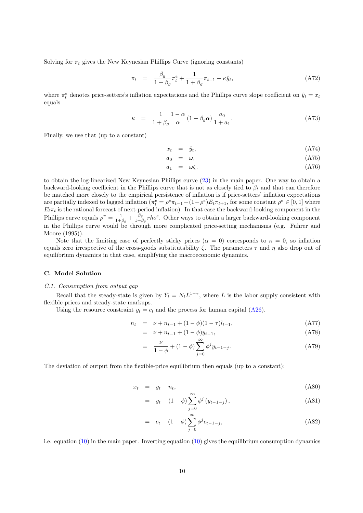Solving for  $\pi_t$  gives the New Keynesian Phillips Curve (ignoring constants)

$$
\pi_t = \frac{\beta_g}{1 + \beta_g} \pi_t^e + \frac{1}{1 + \beta_g} \pi_{t-1} + \kappa \hat{y}_t,\tag{A72}
$$

where  $\pi_t^e$  denotes price-setters's inflation expectations and the Phillips curve slope coefficient on  $\hat{y}_t = x_t$ equals

$$
\kappa = \frac{1}{1+\beta_g} \frac{1-\alpha}{\alpha} (1-\beta_g \alpha) \frac{a_0}{1+a_1}.
$$
 (A73)

Finally, we use that (up to a constant)

$$
x_t = \hat{y}_t, \tag{A74}
$$

$$
a_0 = \omega, \tag{A75}
$$

$$
a_1 = \omega \zeta. \tag{A76}
$$

to obtain the log-linearized New Keynesian Phillips curve (23) in the main paper. One way to obtain a backward-looking coefficient in the Phillips curve that is not as closely tied to  $\beta_t$  and that can therefore be matched more closely to the empirical persistence of inflation is if price-setters' inflation expectations are partially indexed to lagged inflation  $(\pi_t^e = \rho^e \pi_{t-1} + (1-\rho^e)E_t \pi_{t+1}$ , for some constant  $\rho^e \in [0,1]$  where  $E_t\pi_t$  is the rational forecast of next-period inflation). In that case the backward-looking component in the Phillips curve equals  $\rho^{\pi} = \frac{1}{1+\beta_g} + \frac{\beta_g}{1+\beta_g}$  $\frac{\beta_g}{1+\beta_g}$ rho<sup>e</sup>. Other ways to obtain a larger backward-looking component in the Phillips curve would be through more complicated price-setting mechanisms (e.g. Fuhrer and Moore (1995)).

Note that the limiting case of perfectly sticky prices  $(\alpha = 0)$  corresponds to  $\kappa = 0$ , so inflation equals zero irrespective of the cross-goods substitutability  $\zeta$ . The parameters  $\tau$  and  $\eta$  also drop out of equilibrium dynamics in that case, simplifying the macroeconomic dynamics.

# C. Model Solution

### C.1. Consumption from output gap

Recall that the steady-state is given by  $\bar{Y}_t = N_t \bar{L}^{1-\tau}$ , where  $\bar{L}$  is the labor supply consistent with flexible prices and steady-state markups.

Using the resource constraint  $y_t = c_t$  and the process for human capital (A26).

$$
n_t = \nu + n_{t-1} + (1 - \phi)(1 - \tau)l_{t-1}, \tag{A77}
$$

$$
= \nu + n_{t-1} + (1 - \phi) y_{t-1}, \tag{A78}
$$

$$
= \frac{\nu}{1-\phi} + (1-\phi) \sum_{j=0}^{\infty} \phi^j y_{t-1-j}.
$$
 (A79)

The deviation of output from the flexible-price equilibrium then equals (up to a constant):

$$
x_t = y_t - n_t, \tag{A80}
$$

$$
= y_t - (1 - \phi) \sum_{j=0}^{\infty} \phi^j (y_{t-1-j}), \qquad (A81)
$$

$$
= c_t - (1 - \phi) \sum_{j=0}^{\infty} \phi^j c_{t-1-j},
$$
\n(A82)

i.e. equation  $(10)$  in the main paper. Inverting equation  $(10)$  gives the equilibrium consumption dynamics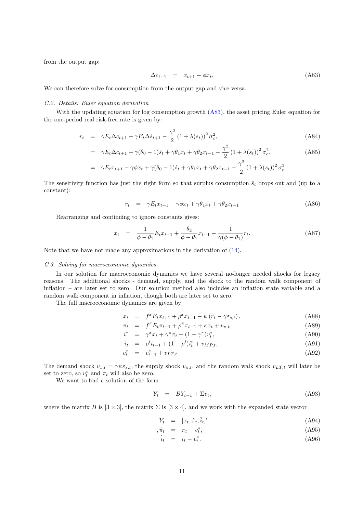from the output gap:

$$
\Delta c_{t+1} = x_{t+1} - \phi x_t. \tag{A83}
$$

We can therefore solve for consumption from the output gap and vice versa.

# C.2. Details: Euler equation derivation

With the updating equation for log consumption growth (A83), the asset pricing Euler equation for the one-period real risk-free rate is given by:

$$
r_t = \gamma E_t \Delta c_{t+1} + \gamma E_t \Delta \hat{s}_{t+1} - \frac{\gamma^2}{2} (1 + \lambda(s_t))^2 \sigma_c^2,
$$
 (A84)

$$
= \gamma E_t \Delta c_{t+1} + \gamma (\theta_0 - 1)\hat{s}_t + \gamma \theta_1 x_t + \gamma \theta_2 x_{t-1} - \frac{\gamma^2}{2} (1 + \lambda(s_t))^2 \sigma_c^2, \tag{A85}
$$

$$
= \gamma E_t x_{t+1} - \gamma \phi x_t + \gamma (\theta_0 - 1) \hat{s}_t + \gamma \theta_1 x_t + \gamma \theta_2 x_{t-1} - \frac{\gamma^2}{2} (1 + \lambda(s_t))^2 \sigma_c^2
$$

The sensitivity function has just the right form so that surplus consumption  $\hat{s}_t$  drops out and (up to a constant):

$$
r_t = \gamma E_t x_{t+1} - \gamma \phi x_t + \gamma \theta_1 x_t + \gamma \theta_2 x_{t-1}
$$
\n(A86)

Rearranging and continuing to ignore constants gives:

$$
x_t = \frac{1}{\phi - \theta_1} E_t x_{t+1} + \frac{\theta_2}{\phi - \theta_1} x_{t-1} - \frac{1}{\gamma(\phi - \theta_1)} r_t.
$$
 (A87)

Note that we have not made any approximations in the derivation of (14).

### C.3. Solving for macroeconomic dynamics

In our solution for macroeconomic dynamics we have several no-longer needed shocks for legacy reasons. The additional shocks - demand, supply, and the shock to the random walk component of inflation – are later set to zero. Our solution method also includes an inflation state variable and a random walk component in inflation, though both are later set to zero.

The full macroeconomic dynamics are given by

$$
x_t = f^x E_t x_{t+1} + \rho^x x_{t-1} - \psi (r_t - \gamma \varepsilon_{s,t}), \qquad (A88)
$$

$$
\pi_t = f^{\pi} E_t \pi_{t+1} + \rho^{\pi} \pi_{t-1} + \kappa x_t + v_{\pi, t}, \tag{A89}
$$

$$
i^* = \gamma^x x_t + \gamma^\pi \pi_t + (1 - \gamma^\pi) v_t^*, \tag{A90}
$$

$$
i_t = \rho^i i_{t-1} + (1 - \rho^i) i_t^* + v_{MP,t}, \tag{A91}
$$

$$
v_t^* = v_{t-1}^* + v_{LT,t}
$$
 (A92)

The demand shock  $v_{x,t} = \gamma \psi \varepsilon_{s,t}$ , the supply shock  $v_{\pi,t}$ , and the random walk shock  $v_{LT,t}$  will later be set to zero, so  $v_t^*$  and  $\pi_t$  will also be zero.

We want to find a solution of the form

$$
Y_t = BY_{t-1} + \Sigma v_t, \tag{A93}
$$

where the matrix B is  $[3 \times 3]$ , the matrix  $\Sigma$  is  $[3 \times 4]$ , and we work with the expanded state vector

$$
Y_t = [x_t, \hat{\pi}_t, \hat{i}_t]'
$$
\n(A94)

$$
\hat{\pi}_t = \pi_t - v_t^*,\tag{A95}
$$

$$
\hat{i}_t = i_t - v_t^*.
$$
\n(A96)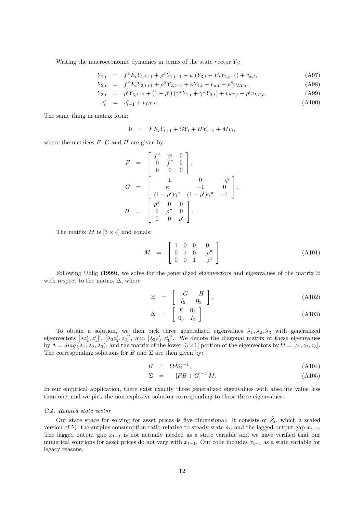Writing the macroeconomic dynamics in terms of the state vector  $Y_t$ :

$$
Y_{1,t} = f^x E_t Y_{1,t+1} + \rho^x Y_{1,t-1} - \psi (Y_{3,t} - E_t Y_{2,t+1}) + v_{x,t},
$$
\n(A97)

$$
Y_{2,t} = f^{\pi} E_t Y_{2,t+1} + \rho^{\pi} Y_{2,t-1} + \kappa Y_{1,t} + v_{\pi,t} - \rho^{\pi} v_{LT,t},
$$
\n(A98)

$$
Y_{3,t} = \rho^i Y_{3,t-1} + (1 - \rho^i) (\gamma^x Y_{1,t} + \gamma^{\pi} Y_{2,t}) + v_{ST,t} - \rho^i v_{LT,t},
$$
\n(A99)

$$
v_t^* = v_{t-1}^* + v_{LT,t}.\tag{A100}
$$

The same thing in matrix form:

$$
0 = FE_tY_{t+1} + GY_t + HY_{t-1} + Mv_t,
$$

where the matrices  $F, G$  and  $H$  are given by

$$
F = \begin{bmatrix} f^x & \psi & 0 \\ 0 & f^{\pi} & 0 \\ 0 & 0 & 0 \end{bmatrix},
$$
  
\n
$$
G = \begin{bmatrix} -1 & 0 & -\psi \\ \kappa & -1 & 0 \\ (1 - \rho^i)\gamma^x & (1 - \rho^i)\gamma^{\pi} & -1 \end{bmatrix},
$$
  
\n
$$
H = \begin{bmatrix} \rho^x & 0 & 0 \\ 0 & \rho^{\pi} & 0 \\ 0 & 0 & \rho^i \end{bmatrix}.
$$

The matrix M is  $[3 \times 4]$  and equals:

$$
M = \begin{bmatrix} 1 & 0 & 0 & 0 \\ 0 & 1 & 0 & -\rho^{\pi} \\ 0 & 0 & 1 & -\rho^i \end{bmatrix}
$$
 (A101)

Following Uhlig (1999), we solve for the generalized eigenvectors and eigenvalues of the matrix Ξ with respect to the matrix  $\Delta$ , where

$$
\Xi = \begin{bmatrix} -G & -H \\ I_3 & 0_3 \end{bmatrix}, \tag{A102}
$$

$$
\Delta = \begin{bmatrix} F & 0_3 \\ 0_3 & I_3 \end{bmatrix} \tag{A103}
$$

To obtain a solution, we then pick three generalized eigenvalues  $\lambda_1, \lambda_2, \lambda_3$  with generalized eigenvectors  $[\lambda z_1', z_1']', [\lambda_2 z_2', z_2]'$ , and  $[\lambda_3 z_3', z_3']'$ . We denote the diagonal matrix of these eigenvalues by  $\Lambda = diag(\lambda_1, \lambda_2, \lambda_3)$ , and the matrix of the lower  $[3 \times 1]$  portion of the eigenvectors by  $\Omega = [z_1, z_2, z_3]$ . The corresponding solutions for B and  $\Sigma$  are then given by:

$$
B = \Omega \Lambda \Omega^{-1}, \tag{A104}
$$

$$
\Sigma = -[FB + G]^{-1} M. \tag{A105}
$$

In our empirical application, there exist exactly three generalized eigenvalues with absolute value less than one, and we pick the non-explosive solution corresponding to these three eigenvalues.

### C.4. Rotated state vector

Our state space for solving for asset prices is five-dimensional: It consists of  $\tilde{Z}_t$ , which a scaled version of  $Y_t$ , the surplus consumption ratio relative to steady-state  $\hat{s}_t$ , and the lagged output gap  $x_{t-1}$ . The lagged output gap  $x_{t-1}$  is not actually needed as a state variable and we have verified that our numerical solutions for asset prices do not vary with  $x_{t-1}$ . Our code includes  $x_{t-1}$  as a state variable for legacy reasons.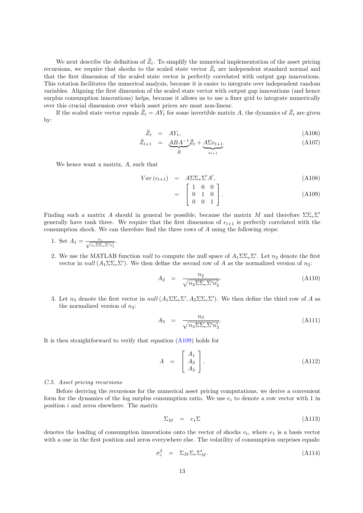We next describe the definition of  $\tilde{Z}_t$ . To simplify the numerical implementation of the asset pricing recursions, we require that shocks to the scaled state vector  $\tilde{Z}_t$  are independent standard normal and that the first dimension of the scaled state vector is perfectly correlated with output gap innovations. This rotation facilitates the numerical analysis, because it is easier to integrate over independent random variables. Aligning the first dimension of the scaled state vector with output gap innovations (and hence surplus consumption innovations) helps, because it allows us to use a finer grid to integrate numerically over this crucial dimension over which asset prices are most non-linear.

If the scaled state vector equals  $\tilde{Z}_t = A Y_t$  for some invertible matrix A, the dynamics of  $\tilde{Z}_t$  are given by:

$$
\tilde{Z}_t = A Y_t, \tag{A106}
$$

$$
\tilde{Z}_{t+1} = \underbrace{ABA^{-1}}_{\tilde{B}} \tilde{Z}_t + \underbrace{A\Sigma v_{t+1}}_{\epsilon_{t+1}}.
$$
\n(A107)

We hence want a matrix, A, such that

$$
Var\left(\epsilon_{t+1}\right) = A\Sigma\Sigma_v\Sigma'A',\tag{A108}
$$

$$
= \begin{bmatrix} 1 & 0 & 0 \\ 0 & 1 & 0 \\ 0 & 0 & 1 \end{bmatrix} . \tag{A109}
$$

Finding such a matrix A should in general be possible, because the matrix M and therefore  $\Sigma\Sigma_v\Sigma'$ generally have rank three. We require that the first dimension of  $\epsilon_{t+1}$  is perfectly correlated with the consumption shock. We can therefore find the three rows of A using the following steps:

- 1. Set  $A_1 = \frac{e_1}{\sqrt{e_1 \Sigma \Sigma_v \Sigma' e'_1}}$ .
- 2. We use the MATLAB function *null* to compute the null space of  $A_1 \Sigma \Sigma_v \Sigma'$ . Let  $n_2$  denote the first vector in null  $(A_1 \Sigma \Sigma_v \Sigma')$ . We then define the second row of A as the normalized version of  $n_2$ :

$$
A_2 = \frac{n_2}{\sqrt{n_2 \Sigma \Sigma_v \Sigma' n_2'}}.
$$
\n(A110)

3. Let  $n_3$  denote the first vector in  $null(A_1\Sigma\Sigma_v\Sigma', A_2\Sigma\Sigma_v\Sigma')$ . We then define the third row of A as the normalized version of  $n_3$ :

$$
A_3 = \frac{n_3}{\sqrt{n_3 \Sigma \Sigma_v \Sigma' n_3'}}.
$$
\n(A111)

It is then straightforward to verify that equation (A109) holds for

$$
A = \begin{bmatrix} A_1 \\ A_2 \\ A_3 \end{bmatrix} . \tag{A112}
$$

### C.5. Asset pricing recursions

Before deriving the recursions for the numerical asset pricing computations, we derive a convenient form for the dynamics of the log surplus consumption ratio. We use  $e_i$  to denote a row vector with 1 in position i and zeros elsewhere. The matrix

$$
\Sigma_M = e_1 \Sigma \tag{A113}
$$

denotes the loading of consumption innovations onto the vector of shocks  $v_t$ , where  $e_1$  is a basis vector with a one in the first position and zeros everywhere else. The volatility of consumption surprises equals:

$$
\sigma_c^2 = \Sigma_M \Sigma_v \Sigma_M'.
$$
\n(A114)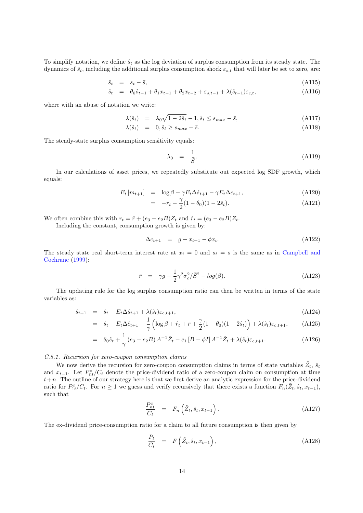To simplify notation, we define  $\hat{s}_t$  as the log deviation of surplus consumption from its steady state. The dynamics of  $\hat{s}_t$ , including the additional surplus consumption shock  $\varepsilon_{s,t}$  that will later be set to zero, are:

$$
\hat{s}_t = s_t - \bar{s}, \tag{A115}
$$

$$
\hat{s}_t = \theta_0 \hat{s}_{t-1} + \theta_1 x_{t-1} + \theta_2 x_{t-2} + \varepsilon_{s,t-1} + \lambda (\hat{s}_{t-1}) \varepsilon_{c,t}, \tag{A116}
$$

where with an abuse of notation we write:

$$
\lambda(\hat{s}_t) = \lambda_0 \sqrt{1 - 2\hat{s}_t} - 1, \hat{s}_t \le s_{max} - \bar{s},\tag{A117}
$$

$$
\lambda(\hat{s}_t) = 0, \hat{s}_t \ge s_{max} - \bar{s}.\tag{A118}
$$

The steady-state surplus consumption sensitivity equals:

$$
\lambda_0 = \frac{1}{\bar{S}}.\tag{A119}
$$

In our calculations of asset prices, we repeatedly substitute out expected log SDF growth, which equals:

$$
E_t \left[ m_{t+1} \right] = \log \beta - \gamma E_t \Delta \hat{s}_{t+1} - \gamma E_t \Delta c_{t+1}, \tag{A120}
$$

$$
= -r_t - \frac{\gamma}{2}(1 - \theta_0)(1 - 2\hat{s}_t). \tag{A121}
$$

We often combine this with  $r_t = \bar{r} + (e_3 - e_2B)Z_t$  and  $\hat{r}_t = (e_3 - e_2B)Z_t$ .

Including the constant, consumption growth is given by:

$$
\Delta c_{t+1} = g + x_{t+1} - \phi x_t.
$$
\n(A122)

The steady state real short-term interest rate at  $x_t = 0$  and  $s_t = \overline{s}$  is the same as in Campbell and Cochrane (1999):

$$
\bar{r} = \gamma g - \frac{1}{2} \gamma^2 \sigma_c^2 / \bar{S}^2 - \log(\beta). \tag{A123}
$$

The updating rule for the log surplus consumption ratio can then be written in terms of the state variables as:

$$
\hat{s}_{t+1} = \hat{s}_t + E_t \Delta \hat{s}_{t+1} + \lambda (\hat{s}_t) \varepsilon_{c,t+1}, \tag{A124}
$$

$$
= \hat{s}_t - E_t \Delta \hat{c}_{t+1} + \frac{1}{\gamma} \left( \log \beta + \hat{r}_t + \bar{r} + \frac{\gamma}{2} (1 - \theta_0)(1 - 2\hat{s}_t) \right) + \lambda(\hat{s}_t) \varepsilon_{c, t+1}, \quad (A125)
$$

$$
= \theta_0 \hat{s}_t + \frac{1}{\gamma} (e_3 - e_2 B) A^{-1} \tilde{Z}_t - e_1 [B - \phi I] A^{-1} \tilde{Z}_t + \lambda (\hat{s}_t) \varepsilon_{c, t+1}.
$$
 (A126)

# C.5.1. Recursion for zero-coupon consumption claims

We now derive the recursion for zero-coupon consumption claims in terms of state variables  $\tilde{Z}_t$ ,  $\hat{s}_t$ and  $x_{t-1}$ . Let  $P_{nt}^c/C_t$  denote the price-dividend ratio of a zero-coupon claim on consumption at time  $t+n$ . The outline of our strategy here is that we first derive an analytic expression for the price-dividend ratio for  $P_{1t}^c/C_t$ . For  $n \geq 1$  we guess and verify recursively that there exists a function  $F_n(\tilde{Z}_t, \hat{s}_t, x_{t-1}),$ such that

$$
\frac{P_{nt}^c}{C_t} = F_n\left(\tilde{Z}_t, \hat{s}_t, x_{t-1}\right). \tag{A127}
$$

The ex-dividend price-consumption ratio for a claim to all future consumption is then given by

$$
\frac{P_t}{C_t} = F\left(\tilde{Z}_t, \hat{s}_t, x_{t-1}\right),\tag{A128}
$$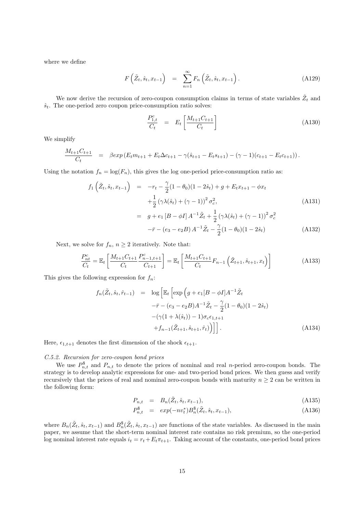where we define

$$
F\left(\tilde{Z}_t, \hat{s}_t, x_{t-1}\right) = \sum_{n=1}^{\infty} F_n\left(\tilde{Z}_t, \hat{s}_t, x_{t-1}\right). \tag{A129}
$$

We now derive the recursion of zero-coupon consumption claims in terms of state variables  $\tilde{Z}_t$  and  $\hat{s}_t$ . The one-period zero coupon price-consumption ratio solves:

$$
\frac{P_{1,t}^c}{C_t} = E_t \left[ \frac{M_{t+1} C_{t+1}}{C_t} \right]
$$
\n(A130)

We simplify

$$
\frac{M_{t+1}C_{t+1}}{C_t} = \beta \exp\left(E_t m_{t+1} + E_t \Delta c_{t+1} - \gamma(\hat{s}_{t+1} - E_t s_{t+1}) - (\gamma - 1)(c_{t+1} - E_t c_{t+1})\right).
$$

Using the notation  $f_n = \log(F_n)$ , this gives the log one-period price-consumption ratio as:

$$
f_1\left(\tilde{Z}_t, \hat{s}_t, x_{t-1}\right) = -r_t - \frac{\gamma}{2}(1 - \theta_0)(1 - 2\hat{s}_t) + g + E_t x_{t+1} - \phi x_t
$$
  
+ 
$$
\frac{1}{2}(\gamma \lambda(\hat{s}_t) + (\gamma - 1))^2 \sigma_c^2,
$$
  
= 
$$
g + e_1 [B - \phi I] A^{-1} \tilde{Z}_t + \frac{1}{2}(\gamma \lambda(\hat{s}_t) + (\gamma - 1))^2 \sigma_c^2
$$
  

$$
-\bar{r} - (e_3 - e_2 B) A^{-1} \tilde{Z}_t - \frac{\gamma}{2}(1 - \theta_0)(1 - 2\hat{s}_t)
$$
(A132)

Next, we solve for  $f_n$ ,  $n \geq 2$  iteratively. Note that:

$$
\frac{P_{nt}^{c}}{C_{t}} = \mathbb{E}_{t} \left[ \frac{M_{t+1} C_{t+1}}{C_{t}} \frac{P_{n-1,t+1}^{c}}{C_{t+1}} \right] = \mathbb{E}_{t} \left[ \frac{M_{t+1} C_{t+1}}{C_{t}} F_{n-1} \left( \tilde{Z}_{t+1}, \hat{s}_{t+1}, x_{t} \right) \right]
$$
(A133)

This gives the following expression for  $f_n$ :

$$
f_n(\tilde{Z}_t, \hat{s}_t, \hat{r}_{t-1}) = \log \left[ \mathbb{E}_t \left[ \exp \left( g + e_1 [B - \phi I] A^{-1} \tilde{Z}_t \right) - \bar{r} - (e_3 - e_2 B) A^{-1} \tilde{Z}_t - \frac{\gamma}{2} (1 - \theta_0)(1 - 2\hat{s}_t) \right) \right] - (\gamma (1 + \lambda(\hat{s}_t)) - 1) \sigma_c \epsilon_{1, t+1} + f_{n-1}(\tilde{Z}_{t+1}, \hat{s}_{t+1}, \hat{r}_t)) \Big] \Big]. \tag{A134}
$$

Here,  $\epsilon_{1,t+1}$  denotes the first dimension of the shock  $\epsilon_{t+1}$ .

# C.5.2. Recursion for zero-coupon bond prices

We use  $P_{n,t}^{\$}$  and  $P_{n,t}$  to denote the prices of nominal and real *n*-period zero-coupon bonds. The strategy is to develop analytic expressions for one- and two-period bond prices. We then guess and verify recursively that the prices of real and nominal zero-coupon bonds with maturity  $n \geq 2$  can be written in the following form:

$$
P_{n,t} = B_n(\tilde{Z}_t, \hat{s}_t, x_{t-1}), \tag{A135}
$$

$$
P_{n,t}^{\$} = exp(-nv_t^*)B_n^{\$}(\tilde{Z}_t, \hat{s}_t, x_{t-1}), \qquad (A136)
$$

where  $B_n(\tilde{Z}_t, \hat{s}_t, x_{t-1})$  and  $B_n^{\$}(\tilde{Z}_t, \hat{s}_t, x_{t-1})$  are functions of the state variables. As discussed in the main paper, we assume that the short-term nominal interest rate contains no risk premium, so the one-period log nominal interest rate equals  $i_t = r_t + E_t \pi_{t+1}$ . Taking account of the constants, one-period bond prices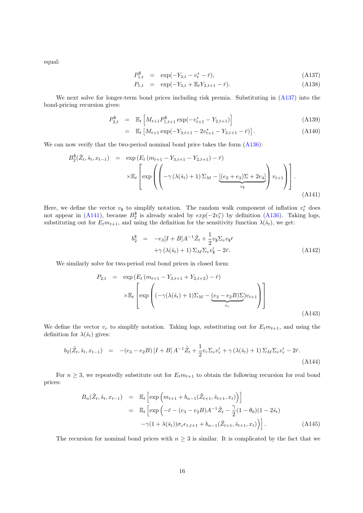equal:

$$
P_{1,t}^{\$} = \exp(-Y_{3,t} - v_t^* - \bar{r}), \tag{A137}
$$

$$
P_{1,t} = \exp(-Y_{3,t} + \mathbb{E}_t Y_{2,t+1} - \bar{r}). \tag{A138}
$$

We next solve for longer-term bond prices including risk premia. Substituting in  $(A137)$  into the bond-pricing recursion gives:

$$
P_{2,t}^{\$} = \mathbb{E}_t \left[ M_{t+1} P_{1,t+1}^{\$} \exp(-v_{t+1}^* - Y_{2,t+1}) \right]
$$
 (A139)

$$
= \mathbb{E}_t \left[ M_{t+1} \exp(-Y_{3,t+1} - 2v_{t+1}^* - Y_{2,t+1} - \bar{r}) \right]. \tag{A140}
$$

We can now verify that the two-period nominal bond price takes the form  $(A136)$ :

$$
B_2^{\$}(\tilde{Z}_t, \hat{s}_t, x_{t-1}) = \exp(E_t (m_{t+1} - Y_{3,t+1} - Y_{2,t+1}) - \bar{r})
$$

$$
\times \mathbb{E}_t \left[ \exp\left( \left( -\gamma \left( \lambda(\hat{s}_t) + 1 \right) \Sigma_M - \underbrace{[(e_2 + e_3)\Sigma + 2e_4]}_{v_{\$}} \right) v_{t+1} \right) \right].
$$
\n(A141)

Here, we define the vector  $v_{\$}$  to simplify notation. The random walk component of inflation  $v_{t}^{*}$  does not appear in (A141), because  $B_2^{\$}$  is already scaled by  $exp(-2v_t^*)$  by definition (A136). Taking logs, substituting out for  $E_t m_{t+1}$ , and using the definition for the sensitivity function  $\lambda(\hat{s}_t)$ , we get:

$$
b_2^{\$} = -e_3[I + B]A^{-1}\tilde{Z}_t + \frac{1}{2}v_3\Sigma_v v_3\prime
$$

$$
+ \gamma \left(\lambda(\hat{s}_t) + 1\right)\Sigma_M\Sigma_v v_3\prime - 2\bar{r}.
$$
(A142)

We similarly solve for two-period real bond prices in closed form:

$$
P_{2,t} = \exp\left(E_t \left(m_{t+1} - Y_{3,t+1} + Y_{2,t+2}\right) - \bar{r}\right)
$$
  
 
$$
\times \mathbb{E}_t \left[\exp\left((-\gamma(\lambda(\hat{s}_t) + 1)\Sigma_M - (\underline{e_3} - e_2 B)\Sigma)v_{t+1}\right)\right]
$$
  
(A143)

We define the vector  $v_r$  to simplify notation. Taking logs, substituting out for  $E_t m_{t+1}$ , and using the definition for  $\lambda(\hat{s}_t)$  gives:

$$
b_2(\tilde{Z}_t, \hat{s}_t, x_{t-1}) = -(e_3 - e_2 B) [I + B] A^{-1} \tilde{Z}_t + \frac{1}{2} v_r \Sigma_v v'_r + \gamma (\lambda(\hat{s}_t) + 1) \Sigma_M \Sigma_v v'_r - 2\bar{r}.
$$
\n(A144)

For  $n \geq 3$ , we repeatedly substitute out for  $E_t m_{t+1}$  to obtain the following recursion for real bond prices:

$$
B_n(\tilde{Z}_t, \hat{s}_t, x_{t-1}) = \mathbb{E}_t \left[ \exp \left( m_{t+1} + b_{n-1}(\tilde{Z}_{t+1}, \hat{s}_{t+1}, x_t) \right) \right]
$$
  
\n
$$
= \mathbb{E}_t \left[ \exp \left( -\bar{r} - (e_3 - e_2 B) A^{-1} \tilde{Z}_t - \frac{\gamma}{2} (1 - \theta_0) (1 - 2\hat{s}_t) \right) - \gamma (1 + \lambda(\hat{s}_t)) \sigma_c \epsilon_{1, t+1} + b_{n-1}(\tilde{Z}_{t+1}, \hat{s}_{t+1}, x_t) \right) \right].
$$
\n(A145)

The recursion for nominal bond prices with  $n \geq 3$  is similar. It is complicated by the fact that we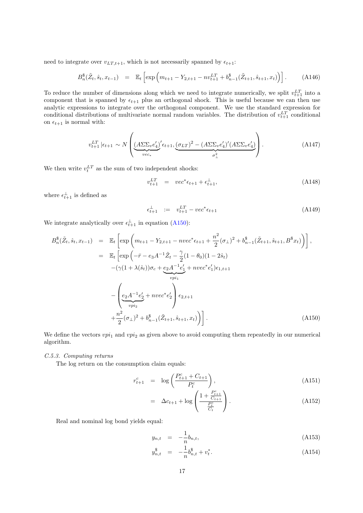need to integrate over  $v_{LT,t+1}$ , which is not necessarily spanned by  $\epsilon_{t+1}$ :

$$
B_n^{\$}(\tilde{Z}_t, \hat{s}_t, x_{t-1}) = \mathbb{E}_t \left[ \exp \left( m_{t+1} - Y_{2,t+1} - n v_{t+1}^{LT} + b_{n-1}^{\$}(\tilde{Z}_{t+1}, \hat{s}_{t+1}, x_t) \right) \right]. \tag{A146}
$$

To reduce the number of dimensions along which we need to integrate numerically, we split  $v_{t+1}^{LT}$  into a component that is spanned by  $\epsilon_{t+1}$  plus an orthogonal shock. This is useful because we can then use analytic expressions to integrate over the orthogonal component. We use the standard expression for conditional distributions of multivariate normal random variables. The distribution of  $v_{t+1}^{LT}$  conditional on  $\epsilon_{t+1}$  is normal with:

$$
v_{t+1}^{LT} \left| \epsilon_{t+1} \sim N \left( \underbrace{(A \Sigma \Sigma_v e_4')}_{vec_*} \epsilon_{t+1}, \underbrace{(\sigma_{LT})^2 - (A \Sigma \Sigma_v e_4')}_{\sigma_\perp^2} \right) \right). \tag{A147}
$$

We then write  $v_t^{LT}$  as the sum of two independent shocks:

$$
v_{t+1}^{LT} = vec^* \epsilon_{t+1} + \epsilon_{t+1}^{\perp}, \tag{A148}
$$

where  $\epsilon_{t+1}^{\perp}$  is defined as

$$
\epsilon_{t+1}^{\perp} := v_{t+1}^{LT} - vec^* \epsilon_{t+1}
$$
\n(A149)

We integrate analytically over  $\epsilon_{t+1}^{\perp}$  in equation (A150):

$$
B_n^{\$}(\tilde{Z}_t, \hat{s}_t, x_{t-1}) = \mathbb{E}_t \left[ \exp \left( m_{t+1} - Y_{2,t+1} - n \nu e c^* \epsilon_{t+1} + \frac{n^2}{2} (\sigma_\perp)^2 + b_{n-1}^{\$}(\tilde{Z}_{t+1}, \hat{s}_{t+1}, B^{\$} x_t) \right) \right],
$$
  
\n
$$
= \mathbb{E}_t \left[ \exp \left( -\bar{r} - e_3 A^{-1} \tilde{Z}_t - \frac{\gamma}{2} (1 - \theta_0)(1 - 2\hat{s}_t) - (\gamma (1 + \lambda(\hat{s}_t)) \sigma_c + \underbrace{e_2 A^{-1} e'_1}_{v p i_1} + n \nu e c^* e'_1) \epsilon_{1,t+1} \right. \right]
$$
  
\n
$$
- \left( \underbrace{e_2 A^{-1} e'_2}_{v p i_2} + n \nu e c^* e'_2 \right) \epsilon_{2,t+1} + \frac{n^2}{2} (\sigma_\perp)^2 + b_{n-1}^{\$}(\tilde{Z}_{t+1}, \hat{s}_{t+1}, x_t) \Big) \right]. \tag{A150}
$$

We define the vectors  $vpi_1$  and  $vpi_2$  as given above to avoid computing them repeatedly in our numerical algorithm.

# C.5.3. Computing returns

The log return on the consumption claim equals:

$$
r_{t+1}^c = \log\left(\frac{P_{t+1}^c + C_{t+1}}{P_t^c}\right),\tag{A151}
$$

$$
= \Delta c_{t+1} + \log \left( \frac{1 + \frac{P_{t+1}^c}{C_{t+1}}}{\frac{P_t^c}{C_t}} \right). \tag{A152}
$$

Real and nominal log bond yields equal:

$$
y_{n,t} = -\frac{1}{n}b_{n,t}, \tag{A153}
$$

$$
y_{n,t}^{\$} = -\frac{1}{n}b_{n,t}^{\$} + v_t^*.
$$
\n(A154)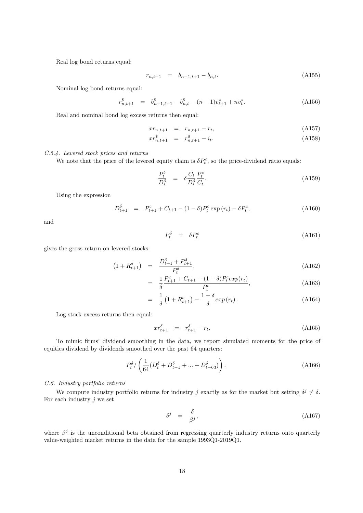Real log bond returns equal:

$$
r_{n,t+1} = b_{n-1,t+1} - b_{n,t}.
$$
\n(A155)

Nominal log bond returns equal:

$$
r_{n,t+1}^{\$} = b_{n-1,t+1}^{\$} - b_{n,t}^{\$} - (n-1)v_{t+1}^{*} + nv_{t}^*.
$$
 (A156)

Real and nominal bond log excess returns then equal:

$$
xr_{n,t+1} = r_{n,t+1} - r_t,
$$
\n(A157)

$$
xr_{n,t+1}^{\$} = r_{n,t+1}^{\$} - i_t.
$$
\n(A158)

# C.5.4. Levered stock prices and returns

We note that the price of the levered equity claim is  $\delta P_t^c$ , so the price-dividend ratio equals:

$$
\frac{P_t^{\delta}}{D_t^{\delta}} = \delta \frac{C_t}{D_t^{\delta}} \frac{P_t^c}{C_t}.
$$
\n(A159)

Using the expression

$$
D_{t+1}^{\delta} = P_{t+1}^c + C_{t+1} - (1 - \delta)P_t^c \exp(r_t) - \delta P_t^c,
$$
 (A160)

and

$$
P_t^{\delta} = \delta P_t^c \tag{A161}
$$

gives the gross return on levered stocks:

$$
(1 + R_{t+1}^{\delta}) = \frac{D_{t+1}^{\delta} + P_{t+1}^{\delta}}{P_t^{\delta}}, \tag{A162}
$$

$$
= \frac{1}{\delta} \frac{P_{t+1}^c + C_{t+1} - (1 - \delta) P_t^c exp(r_t)}{P_t^c}, \tag{A163}
$$

$$
= \frac{1}{\delta} \left( 1 + R_{t+1}^c \right) - \frac{1 - \delta}{\delta} exp(r_t). \tag{A164}
$$

Log stock excess returns then equal:

$$
xr_{t+1}^{\delta} = r_{t+1}^{\delta} - r_t.
$$
 (A165)

To mimic firms' dividend smoothing in the data, we report simulated moments for the price of equities dividend by dividends smoothed over the past 64 quarters:

$$
P_t^{\delta} / \left( \frac{1}{64} (D_t^{\delta} + D_{t-1}^{\delta} + \dots + D_{t-63}^{\delta}) \right). \tag{A166}
$$

# C.6. Industry portfolio returns

We compute industry portfolio returns for industry j exactly as for the market but setting  $\delta^j \neq \delta$ . For each industry  $j$  we set

$$
\delta^j = \frac{\delta}{\beta^j},\tag{A167}
$$

where  $\beta^j$  is the unconditional beta obtained from regressing quarterly industry returns onto quarterly value-weighted market returns in the data for the sample 1993Q1-2019Q1.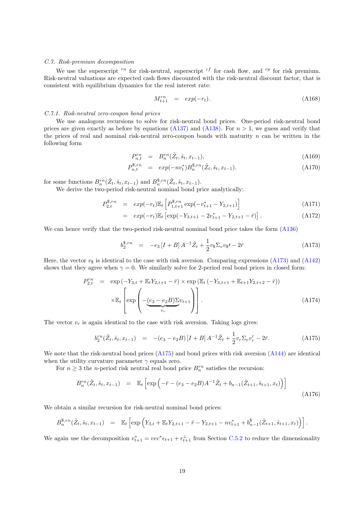# C.7. Risk-premium decomposition

We use the superscript  $r^n$  for risk-neutral, superscript  $c^f$  for cash flow, and  $r^p$  for risk premium. Risk-neutral valuations are expected cash flows discounted with the risk-neutral discount factor, that is consistent with equilibrium dynamics for the real interest rate:

$$
M_{t+1}^{rn} = exp(-r_t). \tag{A168}
$$

#### C.7.1. Risk-neutral zero-coupon bond prices

We use analogous recursions to solve for risk-neutral bond prices. One-period risk-neutral bond prices are given exactly as before by equations (A137) and (A138). For  $n > 1$ , we guess and verify that the prices of real and nominal risk-neutral zero-coupon bonds with maturity  $n$  can be written in the following form

$$
P_{n,t}^{rn} = B_n^{rn}(\tilde{Z}_t, \hat{s}_t, x_{t-1}), \tag{A169}
$$

$$
P_{n,t}^{\$,rn} = exp(-nv_t^*)B_n^{\$,rn}(\tilde{Z}_t, \hat{s}_t, x_{t-1}).
$$
\n(A170)

for some functions  $B_n^{rn}(\tilde{Z}_t, \hat{s}_t, x_{t-1})$  and  $B_n^{\$, rn}(\tilde{Z}_t, \hat{s}_t, x_{t-1})$ .

We derive the two-period risk-neutral nominal bond price analytically:

$$
P_{2,t}^{\$,rn} = exp(-r_t) \mathbb{E}_t \left[ P_{1,t+1}^{\$,rn} \exp(-v_{t+1}^* - Y_{2,t+1}) \right]
$$
\n(A171)

$$
= exp(-rt)\mathbb{E}t [exp(-Y3,t+1 - 2vt+1* - Y2,t+1 - \bar{r})].
$$
 (A172)

We can hence verify that the two-period risk-neutral nominal bond price takes the form  $(A136)$ 

$$
b_2^{\$,rn} = -e_3 \left[ I + B \right] A^{-1} \tilde{Z}_t + \frac{1}{2} v_{\$} \Sigma_v v_{\$} \mathbf{1} - 2\bar{r}
$$
 (A173)

Here, the vector  $v_{\rm s}$  is identical to the case with risk aversion. Comparing expressions (A173) and (A142) shows that they agree when  $\gamma = 0$ . We similarly solve for 2-period real bond prices in closed form:

$$
P_{2,t}^{rn} = \exp(-Y_{3,t} + \mathbb{E}_t Y_{2,t+1} - \bar{r}) \times \exp(\mathbb{E}_t (-Y_{3,t+1} + \mathbb{E}_{t+1} Y_{2,t+2} - \bar{r}))
$$

$$
\times \mathbb{E}_t \left[ \exp\left(-\underbrace{(e_3 - e_2 B) \Sigma v_{t+1}}_{v_r}\right) \right].
$$
(A174)

The vector  $v_r$  is again identical to the case with risk aversion. Taking logs gives:

$$
b_2^{rn}(\tilde{Z}_t, \hat{s}_t, x_{t-1}) = -(e_3 - e_2B)[I + B]A^{-1}\tilde{Z}_t + \frac{1}{2}v_r\Sigma_v v'_r - 2\bar{r}.
$$
 (A175)

We note that the risk-neutral bond prices (A175) and bond prices with risk aversion (A144) are identical when the utility curvature parameter  $\gamma$  equals zero.

For  $n \geq 3$  the *n*-period risk neutral real bond price  $B_n^{rn}$  satisfies the recursion:

$$
B_n^{rn}(\tilde{Z}_t, \hat{s}_t, x_{t-1}) = \mathbb{E}_t \left[ \exp \left( -\bar{r} - (e_3 - e_2 B) A^{-1} \tilde{Z}_t + b_{n-1} (\tilde{Z}_{t+1}, \hat{s}_{t+1}, x_t) \right) \right]
$$
(A176)

We obtain a similar recursion for risk-neutral nominal bond prices:

$$
B_n^{\$,rn}(\tilde{Z}_t, \hat{s}_t, x_{t-1}) = \mathbb{E}_t \left[ \exp \left( Y_{3,t} + \mathbb{E}_t Y_{2,t+1} - \bar{r} - Y_{2,t+1} - n v_{t+1}^* + b_{n-1}^{\$}(\tilde{Z}_{t+1}, \hat{s}_{t+1}, x_t) \right) \right].
$$

We again use the decomposition  $v_{t+1}^* = vec^* \epsilon_{t+1} + \epsilon_{t+1}^{\perp}$  from Section C.5.2 to reduce the dimensionality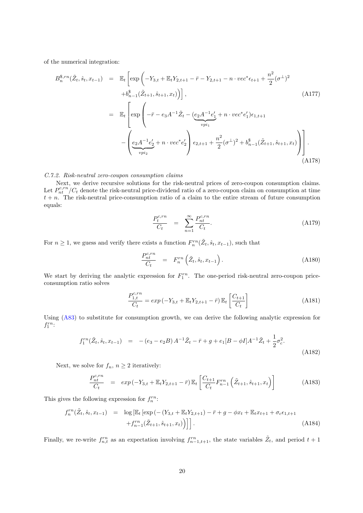of the numerical integration:

$$
B_n^{\$,rn}(\tilde{Z}_t, \hat{s}_t, x_{t-1}) = \mathbb{E}_t \left[ \exp\left( -Y_{3,t} + \mathbb{E}_t Y_{2,t+1} - \bar{r} - Y_{2,t+1} - n \cdot vec^* \epsilon_{t+1} + \frac{n^2}{2} (\sigma^{\perp})^2 \right. \right.\left. + b_{n-1}^{\$}(\tilde{Z}_{t+1}, \hat{s}_{t+1}, x_t) \right) \right],
$$
\n(A177)  
\n
$$
= \mathbb{E}_t \left[ \exp\left( -\bar{r} - e_3 A^{-1} \tilde{Z}_t - \underbrace{(e_2 A^{-1} e_1' + n \cdot vec^* e_1') \epsilon_{1,t+1}}_{\text{vpi}_1} - \underbrace{\left( e_2 A^{-1} e_2' + n \cdot vec^* e_2' \right) \epsilon_{2,t+1} + \frac{n^2}{2} (\sigma^{\perp})^2 + b_{n-1}^{\$}(\tilde{Z}_{t+1}, \hat{s}_{t+1}, x_t) \right) \right].
$$
\n(A178)

### C.7.2. Risk-neutral zero-coupon consumption claims

Next, we derive recursive solutions for the risk-neutral prices of zero-coupon consumption claims. Let  $P_{nt}^{c,rn}/C_t$  denote the risk-neutral price-dividend ratio of a zero-coupon claim on consumption at time  $t + n$ . The risk-neutral price-consumption ratio of a claim to the entire stream of future consumption equals:

$$
\frac{P_t^{c,rn}}{C_t} = \sum_{n=1}^{\infty} \frac{P_{nt}^{c,rn}}{C_t}.
$$
\n(A179)

For  $n \geq 1$ , we guess and verify there exists a function  $F_n^{rn}(\tilde{Z}_t, \hat{s}_t, x_{t-1})$ , such that

$$
\frac{P_{nt}^{c,rn}}{C_t} = F_n^{rn} \left( \tilde{Z}_t, \hat{s}_t, x_{t-1} \right). \tag{A180}
$$

We start by deriving the analytic expression for  $F_1^{rn}$ . The one-period risk-neutral zero-coupon priceconsumption ratio solves

$$
\frac{P_{1,t}^{c,rn}}{C_t} = exp(-Y_{3,t} + \mathbb{E}_t Y_{2,t+1} - \bar{r}) \mathbb{E}_t \left[ \frac{C_{t+1}}{C_t} \right]
$$
\n(A181)

Using (A83) to substitute for consumption growth, we can derive the following analytic expression for  $f_1^{rn}$ :

$$
f_1^{rn}(\tilde{Z}_t, \hat{s}_t, x_{t-1}) = -(e_3 - e_2B) A^{-1} \tilde{Z}_t - \bar{r} + g + e_1[B - \phi I] A^{-1} \tilde{Z}_t + \frac{1}{2} \sigma_c^2.
$$
\n(A182)

Next, we solve for  $f_n$ ,  $n \geq 2$  iteratively:

$$
\frac{P_{nt}^{c, rn}}{C_t} = exp(-Y_{3,t} + \mathbb{E}_t Y_{2,t+1} - \bar{r}) \mathbb{E}_t \left[ \frac{C_{t+1}}{C_t} F_{n-1}^{rn} \left( \tilde{Z}_{t+1}, \hat{s}_{t+1}, x_t \right) \right]
$$
(A183)

This gives the following expression for  $f_n^{rn}$ :

$$
f_n^{rn}(\tilde{Z}_t, \hat{s}_t, x_{t-1}) = \log \left[ \mathbb{E}_t \left[ \exp \left( -\left( Y_{3,t} + \mathbb{E}_t Y_{2,t+1} \right) - \bar{r} + g - \phi x_t + \mathbb{E}_t x_{t+1} + \sigma_c \epsilon_{1,t+1} \right) + f_{n-1}^{rn}(\tilde{Z}_{t+1}, \hat{s}_{t+1}, x_t) \right) \right].
$$
\n(A184)

Finally, we re-write  $f_{n,t}^{rn}$  as an expectation involving  $f_{n-1,t+1}^{rn}$ , the state variables  $\tilde{Z}_t$ , and period  $t+1$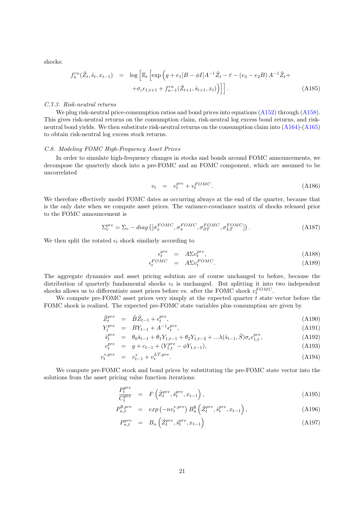shocks:

$$
f_n^{rn}(\tilde{Z}_t, \hat{s}_t, x_{t-1}) = \log \left[ \mathbb{E}_t \left[ \exp \left( g + e_1 [B - \phi I] A^{-1} \tilde{Z}_t - \bar{r} - (e_3 - e_2 B) A^{-1} \tilde{Z}_t + \right. \right. \right. \right. \left. + \sigma_c \epsilon_{1, t+1} + f_{n-1}^{rn}(\tilde{Z}_{t+1}, \hat{s}_{t+1}, x_t) \right) \right]. \tag{A185}
$$

### C.7.3. Risk-neutral returns

We plug risk-neutral price-consumption ratios and bond prices into equations (A152) through (A158). This gives risk-neutral returns on the consumption claim, risk-neutral log excess bond returns, and riskneutral bond yields. We then substitute risk-neutral returns on the consumption claim into (A164)-(A165) to obtain risk-neutral log excess stock returns.

# C.8. Modeling FOMC High-Frequency Asset Prices

In order to simulate high-frequency changes in stocks and bonds around FOMC announcements, we decompose the quarterly shock into a pre-FOMC and an FOMC component, which are assumed to be uncorrelated

$$
v_t = v_t^{pre} + v_t^{FOMC}.
$$
\n(A186)

We therefore effectively model FOMC dates as occurring always at the end of the quarter, because that is the only date when we compute asset prices. The variance-covariance matrix of shocks released prior to the FOMC announcement is

$$
\Sigma_v^{pre} = \Sigma_v - diag\left( [\sigma_x^{FOMC}, \sigma_\pi^{FOMC}, \sigma_{ST}^{FOMC}, \sigma_{LT}^{FOMC}] \right). \tag{A187}
$$

We then split the rotated  $\epsilon_t$  shock similarly according to

$$
\epsilon_t^{pre} = A \Sigma v_t^{pre},\tag{A188}
$$

$$
\epsilon_t^{FOMC} = A\Sigma v_t^{FOMC}.
$$
\n(A189)

The aggregate dynamics and asset pricing solution are of course unchanged to before, because the distribution of quarterly fundamental shocks  $v_t$  is unchanged. But splitting it into two independent shocks allows us to differentiate asset prices before vs. after the FOMC shock  $v_t^{FOMC}$ .

We compute pre-FOMC asset prices very simply at the expected quarter  $t$  state vector before the FOMC shock is realized. The expected pre-FOMC state variables plus consumption are given by

$$
\tilde{Z}_t^{pre} = \tilde{B}\tilde{Z}_{t-1} + \epsilon_t^{pre},\tag{A190}
$$

$$
Y_t^{pre} = BY_{t-1} + A^{-1} \epsilon_t^{pre}, \tag{A191}
$$

$$
\hat{s}_t^{pre} = \theta_0 \hat{s}_{t-1} + \theta_1 Y_{1,t-1} + \theta_2 Y_{1,t-2} + \dots \lambda (\hat{s}_{t-1}, \bar{S}) \sigma_c \epsilon_{1,t}^{pre},
$$
\n(A192)

$$
c_t^{pre} = g + c_{t-1} + (Y_{1,t}^{pre} - \phi Y_{1,t-1}), \tag{A193}
$$

$$
v_t^{*, pre} = v_{t-1}^* + v_t^{LT, pre}.
$$
\n(A194)

We compute pre-FOMC stock and bond prices by substituting the pre-FOMC state vector into the solutions from the asset pricing value function iterations:

$$
\frac{P_t^{pre}}{C_t^{pre}} = F\left(\tilde{Z}_t^{pre}, \hat{s}_t^{pre}, x_{t-1}\right),\tag{A195}
$$

$$
P_{n,t}^{\$,pre} = exp\left(-nv_t^{*,pre}\right) B_n^{\$}\left(\tilde{Z}_t^{pre}, \hat{s}_t^{pre}, x_{t-1}\right),\tag{A196}
$$

$$
P_{n,t}^{pre} = B_n\left(\tilde{Z}_t^{pre}, \hat{s}_t^{pre}, x_{t-1}\right) \tag{A197}
$$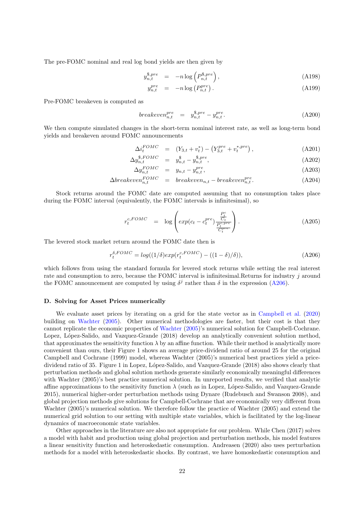The pre-FOMC nominal and real log bond yields are then given by

$$
y_{n,t}^{\$, pre} = -n \log \left( P_{n,t}^{\$, pre} \right), \tag{A198}
$$

$$
y_{n,t}^{pre} = -n \log \left( P_{n,t}^{pre} \right). \tag{A199}
$$

Pre-FOMC breakeven is computed as

$$
breakeven_{n,t}^{pre} = y_{n,t}^{\$, pre} - y_{n,t}^{pre}.
$$
\n(A200)

We then compute simulated changes in the short-term nominal interest rate, as well as long-term bond yields and breakeven around FOMC announcements

$$
\Delta i_t^{FOMC} = (Y_{3,t} + v_t^*) - (Y_{3,t}^{pre} + v_t^{*, pre}), \qquad (A201)
$$

$$
\Delta y_{n,t}^{\$,FOMC} = y_{n,t}^{\$} - y_{n,t}^{\$,pre},\tag{A202}
$$

$$
\Delta y_{n,t}^{FOMC} = y_{n,t} - y_{n,t}^{pre}, \qquad (A203)
$$

$$
\Delta breakeven_{n,t}^{FOMC} = breakeven_{n,t} - breakeven_{n,t}^{pre}.
$$
\n(A204)

Stock returns around the FOMC date are computed assuming that no consumption takes place during the FOMC interval (equivalently, the FOMC intervals is infinitesimal), so

$$
r_t^{c,FOMC} = \log \left( exp(c_t - c_t^{pre}) \frac{\frac{P_t^c}{C_t}}{\frac{P_t^{c,pre}}{C_t^{pre}}} \right). \tag{A205}
$$

The levered stock market return around the FOMC date then is

$$
r_t^{\delta, FOMC} = \log((1/\delta) \exp(r_t^{c, FOMC}) - ((1 - \delta)/\delta)), \tag{A206}
$$

which follows from using the standard formula for levered stock returns while setting the real interest rate and consumption to zero, because the FOMC interval is infinitesimal.Returns for industry j around the FOMC announcement are computed by using  $\delta^j$  rather than  $\delta$  in the expression (A206).

### D. Solving for Asset Prices numerically

We evaluate asset prices by iterating on a grid for the state vector as in Campbell et al. (2020) building on Wachter (2005). Other numerical methodologies are faster, but their cost is that they cannot replicate the economic properties of Wachter (2005)'s numerical solution for Campbell-Cochrane. Lopez, López-Salido, and Vazquez-Grande (2018) develop an analytically convenient solution method, that approximates the sensitivity function  $\lambda$  by an affine function. While their method is analytically more convenient than ours, their Figure 1 shows an average price-dividend ratio of around 25 for the original Campbell and Cochrane (1999) model, whereas Wachter (2005)'s numerical best practices yield a pricedividend ratio of 35. Figure 1 in Lopez, López-Salido, and Vazquez-Grande (2018) also shows clearly that perturbation methods and global solution methods generate similarly economically meaningful differences with Wachter (2005)'s best practice numerical solution. In unreported results, we verified that analytic affine approximations to the sensitivity function  $\lambda$  (such as in Lopez, López-Salido, and Vazquez-Grande 2015), numerical higher-order perturbation methods using Dynare (Rudebusch and Swanson 2008), and global projection methods give solutions for Campbell-Cochrane that are economically very different from Wachter (2005)'s numerical solution. We therefore follow the practice of Wachter (2005) and extend the numerical grid solution to our setting with multiple state variables, which is facilitated by the log-linear dynamics of macroeconomic state variables.

Other approaches in the literature are also not appropriate for our problem. While Chen (2017) solves a model with habit and production using global projection and perturbation methods, his model features a linear sensitivity function and heteroskedastic consumption. Andreasen (2020) also uses perturbation methods for a model with heteroskedastic shocks. By contrast, we have homoskedastic consumption and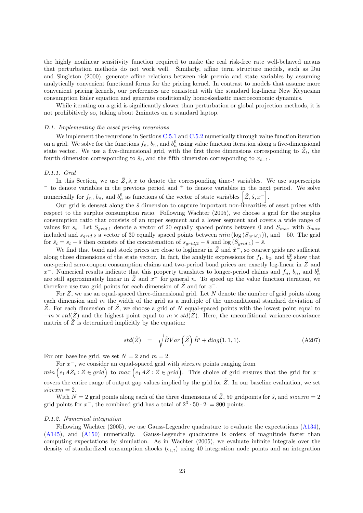the highly nonlinear sensitivity function required to make the real risk-free rate well-behaved means that perturbation methods do not work well. Similarly, affine term structure models, such as Dai and Singleton (2000), generate affine relations between risk premia and state variables by assuming analytically convenient functional forms for the pricing kernel. In contrast to models that assume more convenient pricing kernels, our preferences are consistent with the standard log-linear New Keynesian consumption Euler equation and generate conditionally homoskedastic macroeconomic dynamics.

While iterating on a grid is significantly slower than perturbation or global projection methods, it is not prohibitively so, taking about 2minutes on a standard laptop.

### D.1. Implementing the asset pricing recursions

We implement the recursions in Sections C.5.1 and C.5.2 numerically through value function iteration on a grid. We solve for the functions  $f_n$ ,  $b_n$ , and  $b_n^{\$}$  using value function iteration along a five-dimensional state vector. We use a five-dimensional grid, with the first three dimensions corresponding to  $\tilde{Z}_t$ , the fourth dimension corresponding to  $\hat{s}_t$ , and the fifth dimension corresponding to  $x_{t-1}$ .

# D.1.1. Grid

In this Section, we use  $\tilde{Z}, \hat{s}, x$  to denote the corresponding time-t variables. We use superscripts <sup>−</sup> to denote variables in the previous period and <sup>+</sup> to denote variables in the next period. We solve numerically for  $f_n$ ,  $b_n$ , and  $b_n^{\$}$  as functions of the vector of state variables  $\left[\tilde{Z},\hat{s},x^{-}\right]$ .

Our grid is densest along the  $\hat{s}$  dimension to capture important non-linearities of asset prices with respect to the surplus consumption ratio. Following Wachter (2005), we choose a grid for the surplus consumption ratio that consists of an upper segment and a lower segment and covers a wide range of values for  $s_t$ . Let  $S_{grid,1}$  denote a vector of 20 equally spaced points between 0 and  $S_{max}$  with  $S_{max}$ included and  $s_{grid,2}$  a vector of 30 equally spaced points between  $min(\log(S_{grid,1}))$ , and -50. The grid for  $\hat{s}_t = s_t - \bar{s}$  then consists of the concatenation of  $s_{grid,2} - \bar{s}$  and  $\log(S_{grid,1}) - \bar{s}$ .

We find that bond and stock prices are close to loglinear in  $\tilde{Z}$  and  $\hat{x}^-$ , so coarser grids are sufficient along those dimensions of the state vector. In fact, the analytic expressions for  $f_1$ ,  $b_2$ , and  $b_2^{\$}$  show that one-period zero-coupon consumption claims and two-period bond prices are exactly log-linear in  $\tilde{Z}$  and  $x^-$ . Numerical results indicate that this property translates to longer-period claims and  $f_n$ ,  $b_n$ , and  $b_n^{\$}$ are still approximately linear in  $\tilde{Z}$  and  $x^-$  for general n. To speed up the value function iteration, we therefore use two grid points for each dimension of  $\tilde{Z}$  and for  $x^{-}$ .

For  $\tilde{Z}$ , we use an equal-spaced three-dimensional grid. Let N denote the number of grid points along each dimension and  $m$  the width of the grid as a multiple of the unconditional standard deviation of Z. For each dimension of  $Z$ , we choose a grid of  $N$  equal-spaced points with the lowest point equal to  $-m \times std(Z)$  and the highest point equal to  $m \times std(Z)$ . Here, the unconditional variance-covariance matrix of  $\tilde{Z}$  is determined implicitly by the equation:

$$
std(\tilde{Z}) = \sqrt{\tilde{B}Var\left(\tilde{Z}\right)\tilde{B}' + diag(1,1,1)}.
$$
\n(A207)

For our baseline grid, we set  $N = 2$  and  $m = 2$ .

For  $x^-$ , we consider an equal-spaced grid with  $sizexm$  points ranging from

 $min\left(e_1A\tilde{Z}_t:\tilde{Z}\in grid\right)$  to  $max\left(e_1A\tilde{Z}:\tilde{Z}\in grid\right)$ . This choice of grid ensures that the grid for  $x^{-}$ covers the entire range of output gap values implied by the grid for  $\tilde{Z}$ . In our baseline evaluation, we set  $size x m = 2.$ 

With  $N = 2$  grid points along each of the three dimensions of  $\tilde{Z}$ , 50 gridpoints for  $\hat{s}$ , and  $size x m = 2$ grid points for  $x^-$ , the combined grid has a total of  $2^3 \cdot 50 \cdot 2 \cdot 500$  points.

# D.1.2. Numerical integration

Following Wachter (2005), we use Gauss-Legendre quadrature to evaluate the expectations (A134), (A145), and (A150) numerically. Gauss-Legendre quadrature is orders of magnitude faster than computing expectations by simulation. As in Wachter (2005), we evaluate infinite integrals over the density of standardized consumption shocks  $(\epsilon_{1,t})$  using 40 integration node points and an integration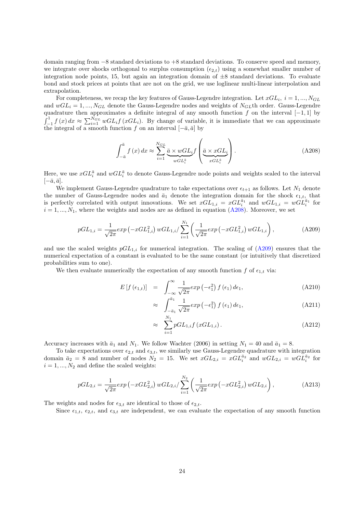domain ranging from −8 standard deviations to +8 standard deviations. To conserve speed and memory, we integrate over shocks orthogonal to surplus consumption  $(\epsilon_{2,t})$  using a somewhat smaller number of integration node points, 15, but again an integration domain of  $\pm 8$  standard deviations. To evaluate bond and stock prices at points that are not on the grid, we use loglinear multi-linear interpolation and extrapolation.

For completeness, we recap the key features of Gauss-Legendre integration. Let  $xGL_i$ ,  $i = 1, ..., N_{GL}$ and  $wGL_i = 1, ..., N_{GL}$  denote the Gauss-Legendre nodes and weights of  $N_{GL}$ th order. Gauss-Legendre quadrature then approximates a definite integral of any smooth function f on the interval  $[-1, 1]$  by  $\int_{-1}^{1} f(x) dx \approx \sum_{i=1}^{N_{GL}} wGL_i f(xGL_i)$ . By change of variable, it is immediate that we can approximate the integral of a smooth function f on an interval  $[-\bar{a}, \bar{a}]$  by

$$
\int_{-\bar{a}}^{\bar{a}} f(x) dx \approx \sum_{i=1}^{N_{GL}} \underbrace{\bar{a} \times wGL_{i}}_{wGL_{i}^{\bar{a}}} f\left(\underbrace{\bar{a} \times xGL_{i}}_{xGL_{i}^{\bar{a}}}\right).
$$
\n(A208)

 $\Delta$ 

Here, we use  $xGL_i^{\bar{a}}$  and  $wGL_i^{\bar{a}}$  to denote Gauss-Legendre node points and weights scaled to the interval  $[-\bar{a}, \bar{a}].$ 

We implement Gauss-Legendre quadrature to take expectations over  $\epsilon_{t+1}$  as follows. Let  $N_1$  denote the number of Gauss-Legendre nodes and  $\bar{a}_1$  denote the integration domain for the shock  $\epsilon_{1,t}$ , that is perfectly correlated with output innovations. We set  $xGL_{1,i} = xGL_i^{\bar{a}_1}$  and  $wGL_{1,i} = wGL_i^{\bar{a}_1}$  for  $i = 1, ..., N_1$ , where the weights and nodes are as defined in equation (A208). Moreover, we set

$$
pGL_{1,i} = \frac{1}{\sqrt{2\pi}} exp\left(-xGL_{1,i}^2\right) wGL_{1,i}/\sum_{i=1}^{N_1} \left(\frac{1}{\sqrt{2\pi}} exp\left(-xGL_{1,i}^2\right) wGL_{1,i}\right),\tag{A209}
$$

and use the scaled weights  $pGL_{1,i}$  for numerical integration. The scaling of  $(A209)$  ensures that the numerical expectation of a constant is evaluated to be the same constant (or intuitively that discretized probabilities sum to one).

We then evaluate numerically the expectation of any smooth function f of  $\epsilon_{1,t}$  via:

$$
E\left[f\left(\epsilon_{1,t}\right)\right] = \int_{-\infty}^{\infty} \frac{1}{\sqrt{2\pi}} exp\left(-\epsilon_1^2\right) f\left(\epsilon_1\right) d\epsilon_1, \tag{A210}
$$

$$
\approx \int_{-\bar{a}_1}^{\bar{a}_1} \frac{1}{\sqrt{2\pi}} \exp\left(-\epsilon_1^2\right) f\left(\epsilon_1\right) d\epsilon_1, \tag{A211}
$$

$$
\approx \sum_{i=1}^{N_1} pGL_{1,i}f\left(xGL_{1,i}\right). \tag{A212}
$$

Accuracy increases with  $\bar{a}_1$  and  $N_1$ . We follow Wachter (2006) in setting  $N_1 = 40$  and  $\bar{a}_1 = 8$ .

To take expectations over  $\epsilon_{2,t}$  and  $\epsilon_{3,t}$ , we similarly use Gauss-Legendre quadrature with integration domain  $\bar{a}_2 = 8$  and number of nodes  $N_2 = 15$ . We set  $xGL_{2,i} = xGL_i^{\bar{a}_2}$  and  $wGL_{2,i} = wGL_i^{\bar{a}_2}$  for  $i = 1, ..., N_2$  and define the scaled weights:

$$
pGL_{2,i} = \frac{1}{\sqrt{2\pi}} exp\left(-xGL_{2,i}^2\right) wGL_{2,i}/\sum_{i=1}^{N_2} \left(\frac{1}{\sqrt{2\pi}} exp\left(-xGL_{2,i}^2\right) wGL_{2,i}\right),\tag{A213}
$$

The weights and nodes for  $\epsilon_{3,t}$  are identical to those of  $\epsilon_{2,t}$ .

Since  $\epsilon_{1,t}$ ,  $\epsilon_{2,t}$ , and  $\epsilon_{3,t}$  are independent, we can evaluate the expectation of any smooth function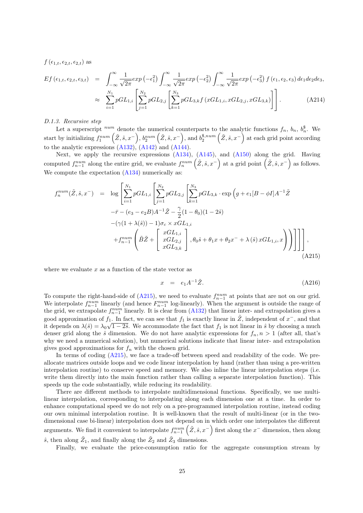$f(\epsilon_{1,t}, \epsilon_{2,t}, \epsilon_{2,t})$  as

$$
Ef\left(\epsilon_{1,t},\epsilon_{2,t},\epsilon_{3,t}\right) = \int_{-\infty}^{\infty} \frac{1}{\sqrt{2\pi}} exp\left(-\epsilon_1^2\right) \int_{-\infty}^{\infty} \frac{1}{\sqrt{2\pi}} exp\left(-\epsilon_2^2\right) \int_{-\infty}^{\infty} \frac{1}{\sqrt{2\pi}} exp\left(-\epsilon_3^2\right) f\left(\epsilon_1,\epsilon_2,\epsilon_3\right) d\epsilon_1 d\epsilon_2 d\epsilon_3,
$$
  

$$
\approx \sum_{i=1}^{N_1} pGL_{1,i} \left[ \sum_{j=1}^{N_2} pGL_{2,j} \left[ \sum_{k=1}^{N_3} pGL_{3,k} f\left(xGL_{1,i}, xGL_{2,j}, xGL_{3,k}\right) \right] \right].
$$
 (A214)

### D.1.3. Recursive step

Let a superscript  $num$  denote the numerical counterparts to the analytic functions  $f_n$ ,  $b_n$ ,  $b_n^{\$}$ . We n start by initializing  $f_1^{num}(\tilde{Z}, \hat{s}, x^-), b_2^{num}(\tilde{Z}, \hat{s}, x^-),$  and  $b_2^{\$, num}(\tilde{Z}, \hat{s}, x^-)$  at each grid point according to the analytic expressions  $(A132)$ ,  $(A142)$  and  $(A144)$ .

Next, we apply the recursive expressions (A134), (A145), and (A150) along the grid. Having computed  $f_{n-1}^{num}$  along the entire grid, we evaluate  $f_n^{num}(\tilde{Z}, \hat{s}, x^-)$  at a grid point  $(\tilde{Z}, \hat{s}, x^-)$  as follows. We compute the expectation  $(A134)$  numerically as:

$$
f_n^{num}(\tilde{Z}, \hat{s}, x^-) = \log \left[ \sum_{i=1}^{N_1} pGL_{1,i} \left[ \sum_{j=1}^{N_2} pGL_{2,j} \left[ \sum_{k=1}^{N_3} pGL_{3,k} \cdot \exp \left( g + e_1 [B - \phi I] A^{-1} \tilde{Z} \right) \right] \right] - \bar{r} - (e_3 - e_2 B) A^{-1} \tilde{Z} - \frac{\gamma}{2} (1 - \theta_0)(1 - 2\hat{s})
$$
  
 
$$
-(\gamma (1 + \lambda(\hat{s})) - 1) \sigma_c \times xGL_{1,i}
$$
  
 
$$
+ f_{n-1}^{num} \left( \tilde{B} \tilde{Z} + \left[ \begin{array}{c} xGL_{1,i} \\ xGL_{2,j} \\ xGL_{3,k} \end{array} \right], \theta_0 \hat{s} + \theta_1 x + \theta_2 x^- + \lambda(\hat{s}) xGL_{1,i}, x \right) ) \Bigg] \Bigg] \Bigg],
$$
(A215)

where we evaluate  $x$  as a function of the state vector as

$$
x = e_1 A^{-1} \tilde{Z}.
$$
 (A216)

To compute the right-hand-side of  $(A215)$ , we need to evaluate  $f_{n-1}^{num}$  at points that are not on our grid. We interpolate  $f_{n-1}^{num}$  linearly (and hence  $F_{n-1}^{num}$  log-linearly). When the argument is outside the range of the grid, we extrapolate  $f_{n-1}^{num}$  linearly. It is clear from  $(A132)$  that linear inter- and extrapolation gives a good approximation of  $f_1$ . In fact, we can see that  $f_1$  is exactly linear in  $\tilde{Z}$ , independent of  $x^-$ , and that it depends on  $\lambda(\hat{s}) = \lambda_0 \sqrt{1 - 2\hat{s}}$ . We accommodate the fact that  $f_1$  is not linear in  $\hat{s}$  by choosing a much denser grid along the  $\hat{s}$  dimension. We do not have analytic expressions for  $f_n, n > 1$  (after all, that's why we need a numerical solution), but numerical solutions indicate that linear inter- and extrapolation gives good approximations for  $f_n$  with the chosen grid.

In terms of coding  $(A215)$ , we face a trade-off between speed and readability of the code. We preallocate matrices outside loops and we code linear interpolation by hand (rather than using a pre-written interpolation routine) to conserve speed and memory. We also inline the linear interpolation steps (i.e. write them directly into the main function rather than calling a separate interpolation function). This speeds up the code substantially, while reducing its readability.

There are different methods to interpolate multidimensional functions. Specifically, we use multilinear interpolation, corresponding to interpolating along each dimension one at a time. In order to enhance computational speed we do not rely on a pre-programmed interpolation routine, instead coding our own minimal interpolation routine. It is well-known that the result of multi-linear (or in the twodimensional case bi-linear) interpolation does not depend on in which order one interpolates the different arguments. We find it convenient to interpolate  $f_{n-1}^{num}(\tilde{Z},\hat{s},x^-)$  first along the  $x^-$  dimension, then along  $\hat{s}$ , then along  $\tilde{Z}_1$ , and finally along the  $\tilde{Z}_2$  and  $\tilde{Z}_3$  dimensions.

Finally, we evaluate the price-consumption ratio for the aggregate consumption stream by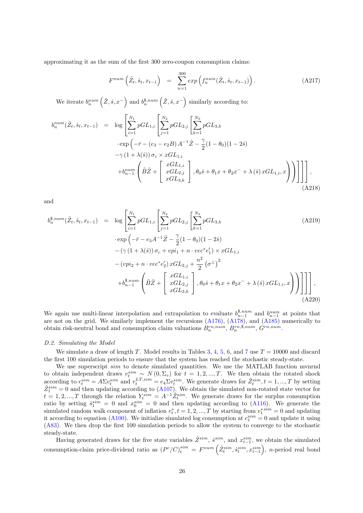approximating it as the sum of the first 300 zero-coupon consumption claims:

$$
F^{num}\left(\tilde{Z}_t, \hat{s}_t, x_{t-1}\right) = \sum_{n=1}^{300} \exp\left(f_n^{num}(\tilde{Z}_t, \hat{s}_t, x_{t-1})\right). \tag{A217}
$$

We iterate  $b_n^{num}(\tilde{Z},\hat{s},x^-)$  and  $b_n^{\$,num}(\tilde{Z},\hat{s},x^-)$  similarly according to:

$$
b_n^{num}(\tilde{Z}_t, \hat{s}_t, x_{t-1}) = \log \left[ \sum_{i=1}^{N_1} pGL_{1,i} \left[ \sum_{j=1}^{N_2} pGL_{2,j} \left[ \sum_{k=1}^{N_3} pGL_{3,k} \right] \right] \right] \cdot \exp \left( -\bar{r} - (e_3 - e_2B) A^{-1} \tilde{Z} - \frac{\gamma}{2} (1 - \theta_0)(1 - 2\hat{s}) \right) - \gamma (1 + \lambda(\hat{s})) \sigma_c \times xGL_{1,i} + b_{n-1}^{num} \left( \tilde{B} \tilde{Z} + \left[ \begin{array}{c} xGL_{1,i} \\ xGL_{2,j} \\ xGL_{3,k} \end{array} \right], \theta_0 \hat{s} + \theta_1 x + \theta_2 x^{-} + \lambda(\hat{s}) xGL_{1,i}, x \right) \right) \right] \Bigg] , \tag{A218}
$$

and

$$
b_n^{\$,num}(\tilde{Z}_t, \hat{s}_t, x_{t-1}) = \log \left[ \sum_{i=1}^{N_1} pGL_{1,i} \left[ \sum_{j=1}^{N_2} pGL_{2,j} \left[ \sum_{k=1}^{N_3} pGL_{3,k} \right] \right] \right. \\ \left. \cdot \exp \left( -\bar{r} - e_3 A^{-1} \tilde{Z} - \frac{\gamma}{2} (1 - \theta_0)(1 - 2\hat{s}) \right. \\ \left. - (\gamma (1 + \lambda(\hat{s})) \sigma_c + v p i_1 + n \cdot v e c^* e'_1) \times x GL_{1,i} \right. \\ \left. - (v p i_2 + n \cdot v e c^* e'_2) x GL_{2,j} + \frac{n^2}{2} (\sigma^{\perp})^2 \right. \\ \left. + b_{n-1}^{\$,num} \left( \tilde{B} \tilde{Z} + \left[ \begin{array}{c} xGL_{1,i} \\ xGL_{2,j} \\ xGL_{3,k} \end{array} \right], \theta_0 \hat{s} + \theta_1 x + \theta_2 x^{-} + \lambda(\hat{s}) x GL_{1,i}, x \right) \right) \right] \right], \tag{A220}
$$

We again use multi-linear interpolation and extrapolation to evaluate  $b_{n-1}^{\$, num}$  and  $b_{n-1}^{num}$  at points that are not on the grid. We similarly implement the recursions (A176), (A178), and (A185) numerically to obtain risk-neutral bond and consumption claim valuations  $B_n^{rn, num}, B_n^{rn, \$, num}, G^{rn, num}$ .

#### D.2. Simulating the Model

We simulate a draw of length T. Model results in Tables 3, 4, 5, 6, and 7 use  $T = 10000$  and discard the first 100 simulation periods to ensure that the system has reached the stochastic steady-state.

We use superscript sim to denote simulated quantities. We use the MATLAB function mvnrnd to obtain independent draws  $v_t^{sim} \sim N(0, \Sigma_v)$  for  $t = 1, 2, ..., T$ . We then obtain the rotated shock according to  $\epsilon_t^{sim} = A\Sigma v_t^{sim}$  and  $v_t^{LT,sim} = e_4 \Sigma v_t^{sim}$ . We generate draws for  $\tilde{Z}_t^{sim}, t = 1, ..., T$  by setting  $\tilde{Z}^{sim}_1 = 0$  and then updating according to  $(A107)$ . We obtain the simulated non-rotated state vector for  $t = 1, 2, ..., T$  through the relation  $Y_t^{sim} = A^{-1} \tilde{Z}_t^{sim}$ . We generate draws for the surplus consumption ratio by setting  $\hat{s}_1^{sim} = 0$  and  $x_0^{sim} = 0$  and then updating according to (A116). We generate the simulated random walk component of inflation  $v_t^*, t = 1, 2, ..., T$  by starting from  $v_1^{*sim} = 0$  and updating it according to equation (A100). We initialize simulated log consumption at  $c_1^{sim} = 0$  and update it using (A83). We then drop the first 100 simulation periods to allow the system to converge to the stochastic steady-state.

Having generated draws for the five state variables  $\tilde{Z}^{sim}$ ,  $\hat{s}^{sim}$ , and  $x_{t-1}^{sim}$ , we obtain the simulated consumption-claim price-dividend ratio as  $(P^c/C)^{sim}_{t} = F^{num}(\tilde{Z}^{sim}_{t}, \tilde{s}^{sim}_{t}, x^{sim}_{t-1}),$  n-period real bond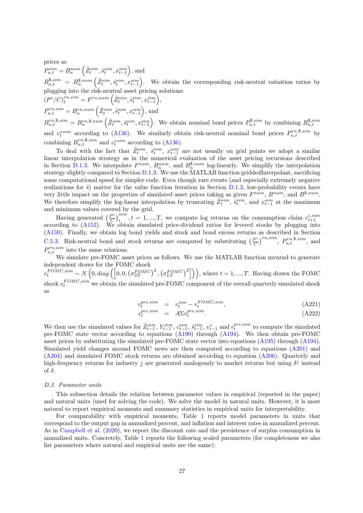prices as

 $P_{n,t}^{sim} = B_n^{num} \left( \tilde{Z}_t^{sim}, \hat{s}_t^{sim}, x_{t-1}^{sim} \right)$ , and  $B^{s,sim}_{n,t} = B^{s,num}_{n} \left( \tilde{Z}^{sim}_{t}, \hat{s}^{sim}_{t}, x^{sim}_{t-1} \right)$ . We obtain the corresponding risk-neutral valuation ratios by plugging into the risk-neutral asset pricing solutions:  $\left(P^c/C\right)_t^{rn,sim} = F^{rn,num}\left(\tilde{Z}_t^{sim}, \hat{s}_t^{sim}, x_{t-1}^{sim}\right),$  $P_{n,t}^{rn,sim} = B_n^{rn,num} \left( \tilde{Z}_t^{sim}, \hat{s}_t^{sim}, x_{t-1}^{sim} \right)$ , and  $B_{n,t}^{rn,\$,sim} = B_n^{rn,\$,num} \left( \tilde{Z}_t^{sim}, \tilde{s}_t^{sim}, x_{t-1}^{sim} \right)$ . We obtain nominal bond prices  $P_{n,t}^{\$,sim}$  by combining  $B_{n,t}^{\$,sim}$ 

and  $v_t^{*sim}$  according to (A136). We similarly obtain risk-neutral nominal bond prices  $P_{n,t}^{rn, \$, sim}$  by combining  $B_{n,t}^{rn, \$, sim}$  and  $v_t^{*sim}$  according to (A136).

To deal with the fact that  $\tilde{Z}^{sim}_{t}$ ,  $\hat{s}^{sim}_{t}$ ,  $x^{sim}_{t-1}$  are not usually on grid points we adopt a similar linear interpolation strategy as in the numerical evaluation of the asset pricing recursions described in Section D.1.3. We interpolate  $F^{num}$ ,  $B_n^{num}$ , and  $B_n^{\$,num}$  log-linearly. We simplify the interpolation strategy slightly compared to Section D.1.3. We use the MATLAB function griddedInterpolant, sacrificing some computational speed for simpler code. Even though rare events (and especially extremely negative realizations for  $\hat{s}$ ) matter for the value function iteration in Section D.1.3, low-probability events have very little impact on the properties of simulated asset prices taking as given  $F^{num}$ ,  $B^{num}$ , and  $B^{s, num}$ . We therefore simplify the log-linear interpolation by truncating  $\tilde{Z}^{sim}_{t}$ ,  $\tilde{s}^{sim}_{t}$ , and  $x^{sim}_{t-1}$  at the maximum and minimum values covered by the grid.

Having generated  $\left(\frac{P^c}{C}\right)$ Having generated  $\left(\frac{P^c}{C}\right)_t^{sim}$ ,  $t = 1, ..., T$ , we compute log returns on the consumption claim  $r_{t+1}^{c,sim}$  according to (A152). We obtain simulated price-dividend ratios for levered stocks by plugging into (A159). Finally, we obtain log bond yields and stock and bond excess returns as described in Section C.5.3. Risk-neutral bond and stock returns are computed by substituting  $\left(\frac{P^e}{C}\right)^e$  $\left(\frac{P^c}{C}\right)^{rn,sim}$ ,  $P_{n,t}^{rn,\$,sim}$ , and  $P_{n,t}^{rn,sim}$  into the same relations.

We simulate pre-FOMC asset prices as follows. We use the MATLAB function mvnrnd to generate independent draws for the FOMC shock  $v_t^{FOMC,sim} \sim N\left(0, diag\left(\left[0, 0, \left(\sigma_{ST}^{FOMC}\right)^2, \left(\sigma_{LT}^{FOMC}\right)^2\right]\right)\right)$ , where  $t = 1, ..., T$ . Having drawn the FOMC shock  $v_t^{FOMC,sim}$  we obtain the simulated pre-FOMC component of the overall quarterly simulated shock as

$$
v_t^{pre,sim} = v_t^{sim} - v_t^{FOMC,sim}, \qquad (A221)
$$

$$
\epsilon_t^{pre,sim} = A\Sigma v_t^{pre,sim}.\tag{A222}
$$

We then use the simulated values for  $\tilde{Z}_{t-1}^{sim}$ ,  $Y_{t-1}^{sim}$ ,  $c_{t-1}^{sim}$ ,  $\tilde{s}_{t-1}^{sim}$ ,  $v_{t-1}^{*}$  and  $\epsilon_t^{pre, sim}$  to compute the simulated pre-FOMC state vector according to equations (A190) through (A194). We then obtain pre-FOMC asset prices by substituting the simulated pre-FOMC state vector into equations (A195) through (A194). Simulated yield changes around FOMC news are then computed according to equations (A201) and (A204) and simulated FOMC stock returns are obtained according to equation (A206). Quarterly and high-frequency returns for industry j are generated analogously to market returns but using  $\delta^j$  instead of  $\delta$ .

# D.3. Parameter units

This subsection details the relation between parameter values in empirical (reported in the paper) and natural units (used for solving the code). We solve the model in natural units. However, it is most natural to report empirical moments and summary statistics in empirical units for interpretability.

For comparability with empirical moments, Table 1 reports model parameters in units that correspond to the output gap in annualized percent, and inflation and interest rates in annualized percent. As in Campbell et al. (2020), we report the discount rate and the persistence of surplus consumption in annualized units. Concretely, Table 1 reports the following scaled parameters (for completeness we also list parameters where natural and empirical units are the same):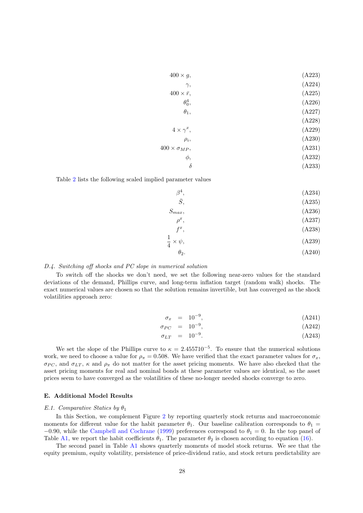| $400 \times g$ ,         | (A223) |
|--------------------------|--------|
| $\gamma,$                | (A224) |
| $400 \times \bar{r}$ ,   | (A225) |
| $\theta_0^4$ ,           | (A226) |
| $\theta_1,$              | (A227) |
|                          | (A228) |
| $4 \times \gamma^x$ ,    | (A229) |
| $\rho_i$                 | (A230) |
| $400 \times \sigma_{MP}$ | (A231) |
| $\phi,$                  | (A232) |
| δ                        | (A233) |

Table 2 lists the following scaled implied parameter values

$$
\beta^4,
$$
\n(A234)\n
$$
\bar{S},
$$
\n(A235)\n
$$
S_{max},
$$
\n(A236)

$$
\rho^x,\tag{A237}
$$

$$
f^x, \tag{A238}
$$

$$
\frac{1}{4} \times \psi,\tag{A239}
$$

$$
\theta_2. \tag{A240}
$$

# D.4. Switching off shocks and PC slope in numerical solution

To switch off the shocks we don't need, we set the following near-zero values for the standard deviations of the demand, Phillips curve, and long-term inflation target (random walk) shocks. The exact numerical values are chosen so that the solution remains invertible, but has converged as the shock volatilities approach zero:

1

$$
\sigma_x = 10^{-9}, \tag{A241}
$$

$$
\sigma_{PC} = 10^{-9}, \tag{A242}
$$

$$
\sigma_{LT} = 10^{-9}.
$$
 (A243)

We set the slope of the Phillips curve to  $\kappa = 2.455710^{-5}$ . To ensure that the numerical solutions work, we need to choose a value for  $\rho_{\pi} = 0.508$ . We have verified that the exact parameter values for  $\sigma_x$ ,  $\sigma_{PC}$ , and  $\sigma_{LT}$ ,  $\kappa$  and  $\rho_{\pi}$  do not matter for the asset pricing moments. We have also checked that the asset pricing moments for real and nominal bonds at these parameter values are identical, so the asset prices seem to have converged as the volatilities of these no-longer needed shocks converge to zero.

# E. Additional Model Results

### E.1. Comparative Statics by  $\theta_1$

In this Section, we complement Figure 2 by reporting quarterly stock returns and macroeconomic moments for different value for the habit parameter  $\theta_1$ . Our baseline calibration corresponds to  $\theta_1$  =  $-0.90$ , while the Campbell and Cochrane (1999) preferences correspond to  $\theta_1 = 0$ . In the top panel of Table A1, we report the habit coefficients  $\theta_1$ . The parameter  $\theta_2$  is chosen according to equation (16).

The second panel in Table A1 shows quarterly moments of model stock returns. We see that the equity premium, equity volatility, persistence of price-dividend ratio, and stock return predictability are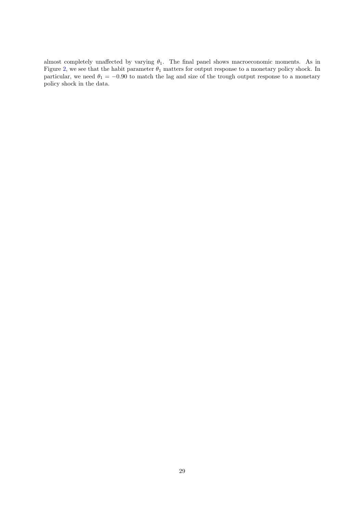almost completely unaffected by varying  $\theta_1$ . The final panel shows macroeconomic moments. As in Figure 2, we see that the habit parameter  $\theta_1$  matters for output response to a monetary policy shock. In particular, we need  $\theta_1 = -0.90$  to match the lag and size of the trough output response to a monetary policy shock in the data.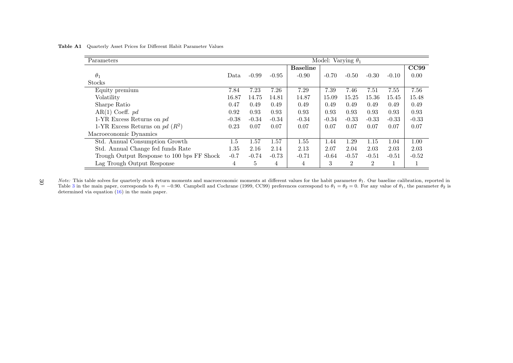| Model: Varying $\theta_1$<br>Parameters    |         |         |         |                 |         |                |                |         |         |
|--------------------------------------------|---------|---------|---------|-----------------|---------|----------------|----------------|---------|---------|
|                                            |         |         |         | <b>Baseline</b> |         |                |                |         | CC99    |
| $\theta_1$                                 | Data.   | $-0.99$ | $-0.95$ | $-0.90$         | $-0.70$ | $-0.50$        | $-0.30$        | $-0.10$ | 0.00    |
| Stocks                                     |         |         |         |                 |         |                |                |         |         |
| Equity premium                             | 7.84    | 7.23    | 7.26    | 7.29            | 7.39    | 7.46           | 7.51           | 7.55    | 7.56    |
| Volatility                                 | 16.87   | 14.75   | 14.81   | 14.87           | 15.09   | 15.25          | 15.36          | 15.45   | 15.48   |
| Sharpe Ratio                               | 0.47    | 0.49    | 0.49    | 0.49            | 0.49    | 0.49           | 0.49           | 0.49    | 0.49    |
| AR(1) Coeff. pd                            | 0.92    | 0.93    | 0.93    | 0.93            | 0.93    | 0.93           | 0.93           | 0.93    | 0.93    |
| 1-YR Excess Returns on $pd$                | $-0.38$ | $-0.34$ | $-0.34$ | $-0.34$         | $-0.34$ | $-0.33$        | $-0.33$        | $-0.33$ | $-0.33$ |
| 1-YR Excess Returns on pd $(R^2)$          | 0.23    | 0.07    | 0.07    | 0.07            | 0.07    | 0.07           | 0.07           | 0.07    | 0.07    |
| Macroeconomic Dynamics                     |         |         |         |                 |         |                |                |         |         |
| Std. Annual Consumption Growth             | $1.5\,$ | 1.57    | 1.57    | 1.55            | 1.44    | 1.29           | 1.15           | 1.04    | 1.00    |
| Std. Annual Change fed funds Rate          | 1.35    | 2.16    | 2.14    | 2.13            | 2.07    | 2.04           | 2.03           | 2.03    | 2.03    |
| Trough Output Response to 100 bps FF Shock | $-0.7$  | $-0.74$ | $-0.73$ | $-0.71$         | $-0.64$ | $-0.57$        | $-0.51$        | $-0.51$ | $-0.52$ |
| Lag Trough Output Response                 | 4       | 5       | 4       | 4               | 3       | $\overline{2}$ | $\overline{2}$ |         |         |

Table A1 Quarterly Asset Prices for Different Habit Parameter Values

Note: This table solves for quarterly stock return moments and macroeconomic moments at different values for the habit parameter  $\theta_1$ . Our baseline calibration, reported in Table 3 in the main paper, corresponds to  $\theta_1 = -0.90$ . Campbell and Cochrane (1999, CC99) preferences correspond to  $\theta_1 = \theta_2 = 0$ . For any value of  $\theta_1$ , the parameter  $\theta_2$  is determined via equation (16) in the main paper.30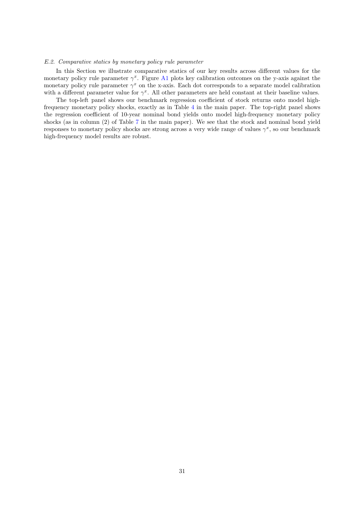# E.2. Comparative statics by monetary policy rule parameter

In this Section we illustrate comparative statics of our key results across different values for the monetary policy rule parameter  $\gamma^x$ . Figure A1 plots key calibration outcomes on the y-axis against the monetary policy rule parameter  $\gamma^x$  on the x-axis. Each dot corresponds to a separate model calibration with a different parameter value for  $\gamma^x$ . All other parameters are held constant at their baseline values.

The top-left panel shows our benchmark regression coefficient of stock returns onto model highfrequency monetary policy shocks, exactly as in Table 4 in the main paper. The top-right panel shows the regression coefficient of 10-year nominal bond yields onto model high-frequency monetary policy shocks (as in column (2) of Table 7 in the main paper). We see that the stock and nominal bond yield responses to monetary policy shocks are strong across a very wide range of values  $\gamma^x$ , so our benchmark high-frequency model results are robust.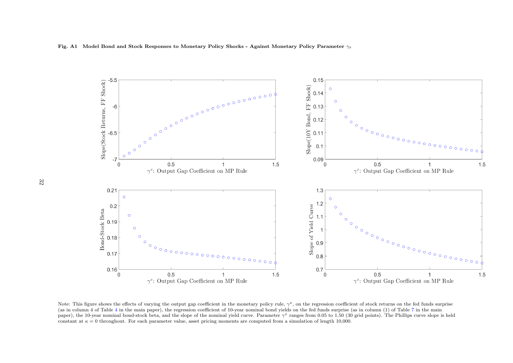



Note: This figure shows the effects of varying the output gap coefficient in the monetary policy rule,  $\gamma^x$ , on the regression coefficient of stock returns on the fed funds surprise (as in column 4 of Table 4 in the main paper), the regression coefficient of 10-year nominal bond yields on the fed funds surprise (as in column (1) of Table 7 in the main paper), the 10-year nominal bond-stock beta, and the slope of the nominal yield curve. Parameter  $\gamma^x$  ranges from 0.05 to 1.50 (30 grid points). The Phillips curve slope is held constant at  $\kappa = 0$  throughout. For each parameter value, asset pricing moments are computed from a simulation of length 10,000.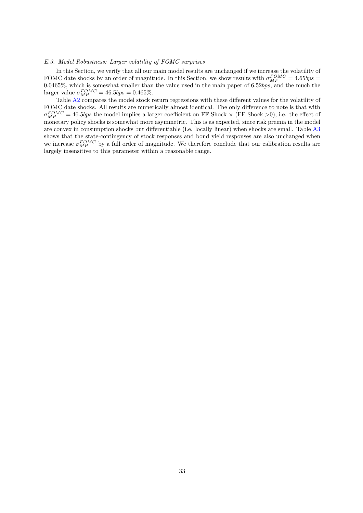### E.3. Model Robustness: Larger volatility of FOMC surprises

In this Section, we verify that all our main model results are unchanged if we increase the volatility of FOMC date shocks by an order of magnitude. In this Section, we show results with  $\sigma_{MP}^{FOMC} = 4.65bps =$  $0.0465\%$ , which is somewhat smaller than the value used in the main paper of 6.52bps, and the much the larger value  $\sigma_{MP}^{FOMC} = 46.5bps = 0.465\%.$ 

Table A2 compares the model stock return regressions with these different values for the volatility of FOMC date shocks. All results are numerically almost identical. The only difference to note is that with  $\sigma_{MP}^{FOMC} = 46.5bps$  the model implies a larger coefficient on FF Shock  $\times$  (FF Shock  $>0$ ), i.e. the effect of monetary policy shocks is somewhat more asymmetric. This is as expected, since risk premia in the model are convex in consumption shocks but differentiable (i.e. locally linear) when shocks are small. Table A3 shows that the state-contingency of stock responses and bond yield responses are also unchanged when we increase  $\sigma_{MP}^{FOMC}$  by a full order of magnitude. We therefore conclude that our calibration results are largely insensitive to this parameter within a reasonable range.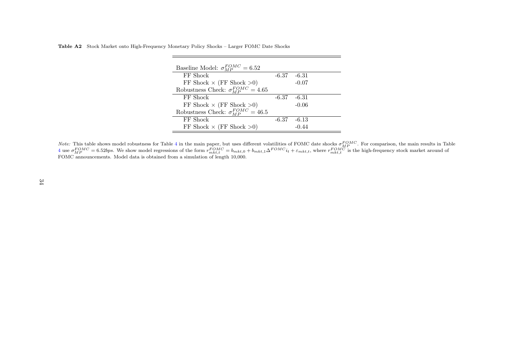Table A2 Stock Market onto High-Frequency Monetary Policy Shocks – Larger FOMC Date Shocks

| Baseline Model: $\sigma_{MP}^{FOMC} = 6.52$   |         |         |  |
|-----------------------------------------------|---------|---------|--|
| FF Shock                                      | $-6.37$ | $-6.31$ |  |
| FF Shock $\times$ (FF Shock $>0$ )            |         | $-0.07$ |  |
| Robustness Check: $\sigma_{MP}^{FOMC} = 4.65$ |         |         |  |
| FF Shock                                      | -6.37   | -6.31   |  |
| FF Shock $\times$ (FF Shock $>0$ )            |         | $-0.06$ |  |
| Robustness Check: $\sigma_{MP}^{FOMC} = 46.5$ |         |         |  |
| FF Shock                                      | -6.37   | -6.13   |  |
| FF Shock $\times$ (FF Shock $>0$ )            |         | $-0.44$ |  |

*Note:* This table shows model robustness for Table 4 in the main paper, but uses different volatilities of FOMC date shocks  $\sigma_{MP}^{FOMC}$ . For comparison, the main results in Table 4 use  $\sigma_{MP}^{FOMC} = 6.52bps$ . We show mode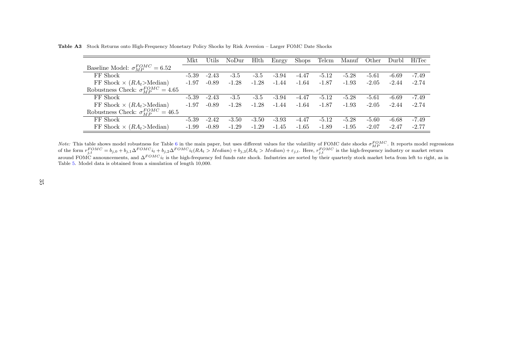Table A3 Stock Returns onto High-Frequency Monetary Policy Shocks by Risk Aversion – Larger FOMC Date Shocks

|                                                     | Mkt     | Utils   | NoDur   | Hlth    | Enrgy   | <b>Shops</b> | Telcm   | Manuf   | Other   | Durbl   | HiTec   |
|-----------------------------------------------------|---------|---------|---------|---------|---------|--------------|---------|---------|---------|---------|---------|
| Baseline Model: $\sigma_{MP}^{FOMC} = 6.52$         |         |         |         |         |         |              |         |         |         |         |         |
| FF Shock                                            | $-5.39$ | $-2.43$ | $-3.5$  | $-3.5$  | $-3.94$ | $-4.47$      | $-5.12$ | $-5.28$ | $-5.61$ | $-6.69$ | $-7.49$ |
| FF Shock $\times$ ( <i>RA</i> <sub>t</sub> >Median) | $-1.97$ | $-0.89$ | $-1.28$ | $-1.28$ | $-1.44$ | $-1.64$      | $-1.87$ | $-1.93$ | $-2.05$ | $-2.44$ | $-2.74$ |
| Robustness Check: $\sigma_{MP}^{FOMC} = 4.65$       |         |         |         |         |         |              |         |         |         |         |         |
| FF Shock                                            | $-5.39$ | $-2.43$ | $-3.5$  | $-3.5$  | $-3.94$ | -4.47        | $-5.12$ | $-5.28$ | $-5.61$ | $-6.69$ | $-7.49$ |
| FF Shock $\times$ ( $RA_t$ )Median)                 | $-1.97$ | $-0.89$ | $-1.28$ | $-1.28$ | $-1.44$ | $-1.64$      | $-1.87$ | $-1.93$ | $-2.05$ | $-2.44$ | $-2.74$ |
| Robustness Check: $\sigma_{MP}^{FOMC} = 46.5$       |         |         |         |         |         |              |         |         |         |         |         |
| FF Shock                                            | $-5.39$ | $-2.42$ | $-3.50$ | $-3.50$ | $-3.93$ | -4.47        | $-5.12$ | $-5.28$ | $-5.60$ | $-6.68$ | $-7.49$ |
| FF Shock $\times$ (RA <sub>t</sub> >Median)         | $-1.99$ | $-0.89$ | $-1.29$ | $-1.29$ | $-1.45$ | $-1.65$      | $-1.89$ | $-1.95$ | $-2.07$ | $-2.47$ | $-2.77$ |

*Note:* This table shows model robustness for Table 6 in the main paper, but uses different values for the volatility of FOMC date shocks  $\sigma_{MP}^{FOMC}$ . It reports model regressions of the form  $r_{j,t}^{FOMC} = b_{j,0} + b_{j,1} \Delta^{$ Table 5. Model data is obtained from <sup>a</sup> simulation of length 10,000.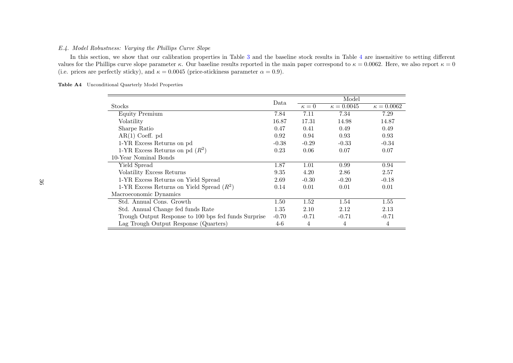# E.4. Model Robustness: Varying the Phillips Curve Slope

In this section, we show that our calibration properties in Table 3 and the baseline stock results in Table 4 are insensitive to setting different values for the Phillips curve slope parameter  $\kappa$ . Our baseline results reported in the main paper correspond to  $\kappa = 0.0062$ . Here, we also report  $\kappa = 0$ (i.e. prices are perfectly sticky), and  $\kappa = 0.0045$  (price-stickiness parameter  $\alpha = 0.9$ ).

|                                                      |          |            | Model             |                   |
|------------------------------------------------------|----------|------------|-------------------|-------------------|
| Stocks                                               | Data     | $\kappa=0$ | $\kappa = 0.0045$ | $\kappa = 0.0062$ |
| <b>Equity Premium</b>                                | 7.84     | 7.11       | 7.34              | 7.29              |
| Volatility                                           | 16.87    | 17.31      | 14.98             | 14.87             |
| Sharpe Ratio                                         | 0.47     | 0.41       | 0.49              | 0.49              |
| $AR(1)$ Coeff. pd                                    | 0.92     | 0.94       | 0.93              | 0.93              |
| 1-YR Excess Returns on pd                            | $-0.38$  | $-0.29$    | $-0.33$           | $-0.34$           |
| 1-YR Excess Returns on pd $(R^2)$                    | 0.23     | 0.06       | 0.07              | 0.07              |
| 10-Year Nominal Bonds                                |          |            |                   |                   |
| Yield Spread                                         | 1.87     | 1.01       | 0.99              | 0.94              |
| Volatility Excess Returns                            | 9.35     | 4.20       | 2.86              | 2.57              |
| 1-YR Excess Returns on Yield Spread                  | 2.69     | $-0.30$    | $-0.20$           | $-0.18$           |
| 1-YR Excess Returns on Yield Spread $(R^2)$          | 0.14     | 0.01       | 0.01              | 0.01              |
| Macroeconomic Dynamics                               |          |            |                   |                   |
| Std. Annual Cons. Growth                             | $1.50\,$ | 1.52       | 1.54              | 1.55              |
| Std. Annual Change fed funds Rate                    | 1.35     | 2.10       | 2.12              | 2.13              |
| Trough Output Response to 100 bps fed funds Surprise | $-0.70$  | $-0.71$    | $-0.71$           | $-0.71$           |
| Lag Trough Output Response (Quarters)                | 4-6      | 4          | 4                 | 4                 |

Table A4 Unconditional Quarterly Model Properties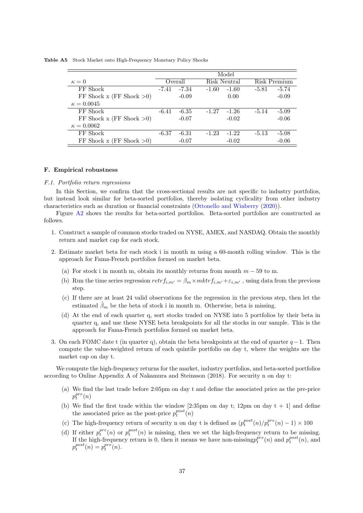Table A5 Stock Market onto High-Frequency Monetary Policy Shocks

|                             |         |         |         | Model        |         |              |
|-----------------------------|---------|---------|---------|--------------|---------|--------------|
| $\kappa=0$                  |         | Overall |         | Risk Neutral |         | Risk Premium |
| FF Shock                    | $-7.41$ | $-7.34$ | $-1.60$ | $-1.60$      | $-5.81$ | $-5.74$      |
| FF Shock x (FF Shock $>0$ ) |         | $-0.09$ |         | 0.00         |         | $-0.09$      |
| $\kappa = 0.0045$           |         |         |         |              |         |              |
| FF Shock                    | $-6.41$ | -6.35   | $-1.27$ | $-1.26$      | $-5.14$ | $-5.09$      |
| FF Shock x (FF Shock $>0$ ) |         | $-0.07$ |         | $-0.02$      |         | $-0.06$      |
| $\kappa = 0.0062$           |         |         |         |              |         |              |
| FF Shock                    | $-6.37$ | $-6.31$ | $-1.23$ | $-1.22$      | $-5.13$ | $-5.08$      |
| FF Shock x (FF Shock $>0$ ) |         | $-0.07$ |         | $-0.02$      |         | $-0.06$      |
|                             |         |         |         |              |         |              |

### F. Empirical robustness

# F.1. Portfolio return regressions

In this Section, we confirm that the cross-sectional results are not specific to industry portfolios, but instead look similar for beta-sorted portfolios, thereby isolating cyclicality from other industry characteristics such as duration or financial constraints (Ottonello and Winberry (2020)).

Figure A2 shows the results for beta-sorted portfolios. Beta-sorted portfolios are constructed as follows.

- 1. Construct a sample of common stocks traded on NYSE, AMEX, and NASDAQ. Obtain the monthly return and market cap for each stock.
- 2. Estimate market beta for each stock i in month m using a 60-month rolling window. This is the approach for Fama-French portfolios formed on market beta.
	- (a) For stock i in month m, obtain its monthly returns from month  $m 59$  to m.
	- (b) Run the time series regression  $retrf_{i,m'} = \beta_m \times m k tr f_{i,m'} + \varepsilon_{i,m'}$ , using data from the previous step.
	- (c) If there are at least 24 valid observations for the regression in the previous step, then let the estimated  $\beta_m$  be the beta of stock i in month m. Otherwise, beta is missing.
	- (d) At the end of each quarter q, sort stocks traded on NYSE into 5 portfolios by their beta in quarter q, and use these NYSE beta breakpoints for all the stocks in our sample. This is the approach for Fama-French portfolios formed on market beta.
- 3. On each FOMC date t (in quarter q), obtain the beta breakpoints at the end of quarter  $q-1$ . Then compute the value-weighted return of each quintile portfolio on day t, where the weights are the market cap on day t.

We compute the high-frequency returns for the market, industry portfolios, and beta-sorted portfolios according to Online Appendix A of Nakamura and Steinsson (2018). For security n on day t:

- (a) We find the last trade before 2:05pm on day t and define the associated price as the pre-price  $p_t^{pre}(n)$
- (b) We find the first trade within the window [2:35pm on day t; 12pm on day  $t + 1$ ] and define the associated price as the post-price  $p_t^{post}(n)$
- (c) The high-frequency return of security n on day t is defined as  $(p_t^{post}(n)/p_t^{pre}(n) 1) \times 100$
- (d) If either  $p_t^{pre}(n)$  or  $p_t^{post}(n)$  is missing, then we set the high-frequency return to be missing. If the high-frequency return is 0, then it means we have non-missing  $p_t^{pre}(n)$  and  $p_t^{post}(n)$ , and  $p_t^{post}(n) = p_t^{pre}(n).$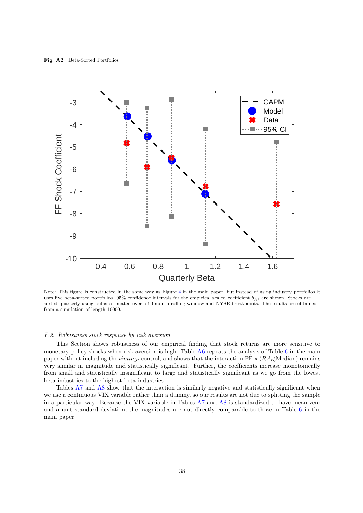

Note: This figure is constructed in the same way as Figure 4 in the main paper, but instead of using industry portfolios it uses five beta-sorted portfolios. 95% confidence intervals for the empirical scaled coefficient  $b_{j,1}$  are shown. Stocks are sorted quarterly using betas estimated over a 60-month rolling window and NYSE breakpoints. The results are obtained from a simulation of length 10000.

#### F.2. Robustness stock response by risk aversion

This Section shows robustness of our empirical finding that stock returns are more sensitive to monetary policy shocks when risk aversion is high. Table A6 repeats the analysis of Table 6 in the main paper without including the timing<sub>t</sub> control, and shows that the interaction FF x  $(RA_t; Median)$  remains very similar in magnitude and statistically significant. Further, the coefficients increase monotonically from small and statistically insignificant to large and statistically significant as we go from the lowest beta industries to the highest beta industries.

Tables A7 and A8 show that the interaction is similarly negative and statistically significant when we use a continuous VIX variable rather than a dummy, so our results are not due to splitting the sample in a particular way. Because the VIX variable in Tables A7 and A8 is standardized to have mean zero and a unit standard deviation, the magnitudes are not directly comparable to those in Table 6 in the main paper.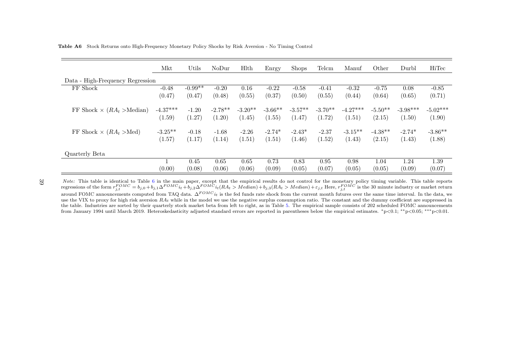| <b>Table A6</b> Stock Returns onto High-Frequency Monetary Policy Shocks by Risk Aversion - No Timing Control |  |
|---------------------------------------------------------------------------------------------------------------|--|
|---------------------------------------------------------------------------------------------------------------|--|

|                                      | Mkt        | Utils     | NoDur     | Hlth      | Enrgy     | <b>Shops</b> | Telcm     | Manuf      | Other     | Durbl      | HiTec      |
|--------------------------------------|------------|-----------|-----------|-----------|-----------|--------------|-----------|------------|-----------|------------|------------|
| Data - High-Frequency Regression     |            |           |           |           |           |              |           |            |           |            |            |
| FF Shock                             | $-0.48$    | $-0.99**$ | $-0.20$   | 0.16      | $-0.22$   | $-0.58$      | $-0.41$   | $-0.32$    | $-0.75$   | 0.08       | $-0.85$    |
|                                      | (0.47)     | (0.47)    | (0.48)    | (0.55)    | (0.37)    | (0.50)       | (0.55)    | (0.44)     | (0.64)    | (0.65)     | (0.71)     |
| FF Shock $\times$ ( $RA_t >$ Median) | $-4.37***$ | $-1.20$   | $-2.78**$ | $-3.20**$ | $-3.66**$ | $-3.57**$    | $-3.70**$ | $-4.27***$ | $-5.50**$ | $-3.98***$ | $-5.02***$ |
|                                      | (1.59)     | (1.27)    | (1.20)    | (1.45)    | (1.55)    | (1.47)       | (1.72)    | (1.51)     | (2.15)    | (1.50)     | (1.90)     |
| FF Shock $\times$ ( $RA_t > Med$ )   | $-3.25**$  | $-0.18$   | $-1.68$   | $-2.26$   | $-2.74*$  | $-2.43*$     | $-2.37$   | $-3.15**$  | $-4.38**$ | $-2.74*$   | $-3.86**$  |
|                                      | (1.57)     | (1.17)    | (1.14)    | (1.51)    | (1.51)    | (1.46)       | (1.52)    | (1.43)     | (2.15)    | (1.43)     | (1.88)     |
| Quarterly Beta                       |            |           |           |           |           |              |           |            |           |            |            |
|                                      |            | 0.45      | 0.65      | 0.65      | 0.73      | 0.83         | 0.95      | 0.98       | 1.04      | 1.24       | 1.39       |
|                                      | (0.00)     | (0.08)    | (0.06)    | (0.06)    | (0.09)    | (0.05)       | (0.07)    | (0.05)     | (0.05)    | (0.09)     | (0.07)     |

39

*Note:* This table is identical to Table 6 in the main paper, except that the empirical results do not control for the monetary policy timing variable. This table reports<br>regressions of the form  $r_{j,t}^{FOMC} = b_{j,0} + b_{j,1} \$ around FOMC announcements computed from TAQ data.  $\Delta^{FOMC}i_t$  is the fed funds rate shock from the current month futures over the same time interval. In the data, we use the VIX to proxy for high risk aversion  $RA_t$  while in the model we use the negative surplus consumption ratio. The constant and the dummy coefficient are suppressed in the table. Industries are sorted by their quarterly stock market beta from left to right, as in Table 5. The empirical sample consists of <sup>202</sup> scheduled FOMC announcements from January 1994 until March 2019. Heteroskedasticity adjusted standard errors are reported in parentheses below the empirical estimates. <sup>∗</sup>p<0.1; ∗∗p<0.05; ∗∗∗p<0.01.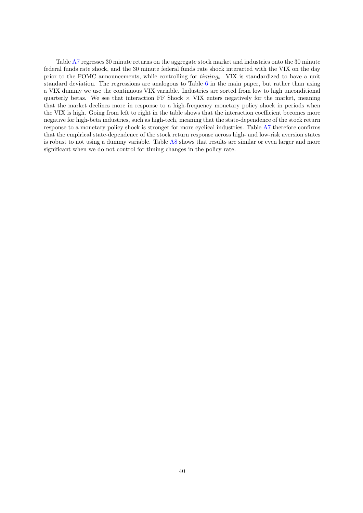Table A7 regresses 30 minute returns on the aggregate stock market and industries onto the 30 minute federal funds rate shock, and the 30 minute federal funds rate shock interacted with the VIX on the day prior to the FOMC announcements, while controlling for  $t$ *iming<sub>t</sub>*. VIX is standardized to have a unit standard deviation. The regressions are analogous to Table 6 in the main paper, but rather than using a VIX dummy we use the continuous VIX variable. Industries are sorted from low to high unconditional quarterly betas. We see that interaction FF Shock  $\times$  VIX enters negatively for the market, meaning that the market declines more in response to a high-frequency monetary policy shock in periods when the VIX is high. Going from left to right in the table shows that the interaction coefficient becomes more negative for high-beta industries, such as high-tech, meaning that the state-dependence of the stock return response to a monetary policy shock is stronger for more cyclical industries. Table A7 therefore confirms that the empirical state-dependence of the stock return response across high- and low-risk aversion states is robust to not using a dummy variable. Table A8 shows that results are similar or even larger and more significant when we do not control for timing changes in the policy rate.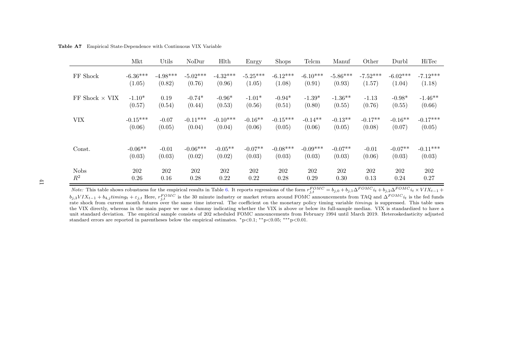Table A7 Empirical State-Dependence with Continuous VIX Variable

|                                        | Mkt        | Utils      | NoDur      | Hlth       | Enrgy      | <b>Shops</b> | Telcm      | Manuf      | Other      | Durbl      | HiTec      |
|----------------------------------------|------------|------------|------------|------------|------------|--------------|------------|------------|------------|------------|------------|
| FF Shock                               | $-6.36***$ | $-4.98***$ | $-5.02***$ | $-4.32***$ | $-5.25***$ | $-6.12***$   | $-6.10***$ | $-5.86***$ | $-7.52***$ | $-6.02***$ | $-7.12***$ |
|                                        | (1.05)     | (0.82)     | (0.76)     | (0.96)     | (1.05)     | (1.08)       | (0.91)     | (0.93)     | (1.57)     | (1.04)     | (1.18)     |
| $\operatorname{FF}$ Shock $\times$ VIX | $-1.10*$   | 0.19       | $-0.74*$   | $-0.96*$   | $-1.01*$   | $-0.94*$     | $-1.39*$   | $-1.36**$  | $-1.13$    | $-0.98*$   | $-1.46**$  |
|                                        | (0.57)     | (0.54)     | (0.44)     | (0.53)     | (0.56)     | (0.51)       | (0.80)     | (0.55)     | (0.76)     | (0.55)     | (0.66)     |
| <b>VIX</b>                             | $-0.15***$ | $-0.07$    | $-0.11***$ | $-0.10***$ | $-0.16**$  | $-0.15***$   | $-0.14**$  | $-0.13**$  | $-0.17**$  | $-0.16**$  | $-0.17***$ |
|                                        | (0.06)     | (0.05)     | (0.04)     | (0.04)     | (0.06)     | (0.05)       | (0.06)     | (0.05)     | (0.08)     | (0.07)     | (0.05)     |
| Const.                                 | $-0.06**$  | $-0.01$    | $-0.06***$ | $-0.05**$  | $-0.07**$  | $-0.08***$   | $-0.09***$ | $-0.07**$  | $-0.01$    | $-0.07**$  | $-0.11***$ |
|                                        | (0.03)     | (0.03)     | (0.02)     | (0.02)     | (0.03)     | (0.03)       | (0.03)     | (0.03)     | (0.06)     | (0.03)     | (0.03)     |
| <b>Nobs</b>                            | 202        | 202        | 202        | 202        | 202        | 202          | 202        | 202        | 202        | 202        | 202        |
| $R^2$                                  | 0.26       | 0.16       | 0.28       | 0.22       | 0.22       | 0.28         | 0.29       | 0.30       | 0.13       | 0.24       | 0.27       |

41

*Note:* This table shows robustness for the empirical results in Table 6. It reports regressions of the form  $r_{j,t}^{FOMC} = b_{j,0} + b_{j,1} \Delta^{FOMC} i_t + b_{j,2} \Delta^{FOMC} i_t \times VIX_{t-1} + b_{j,3} VIX_{t-1} + b_{j,3} VIX_{t-1} + b_{j,3} VIX_{t-1} + b_{j,4} VIX_{t$ the VIX directly, whereas in the main paper we use <sup>a</sup> dummy indicating whether the VIX is above or below its full-sample median. VIX is standardized to have <sup>a</sup> unit standard deviation. The empirical sample consists of 202 scheduled FOMC announcements from February 1994 until March 2019. Heteroskedasticity adjustedstandard errors are reported in parentheses below the empirical estimates.  $*_p<0.1$ ;  $*_p<0.05$ ;  $**_p<0.01$ .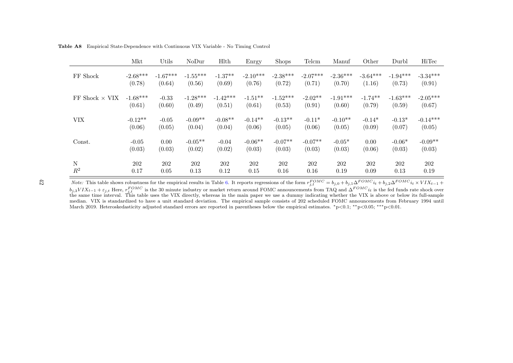|                         | Mkt        | Utils      | NoDur      | <b>H</b> lth | Enrgy      | <b>Shops</b> | Telcm      | Manuf      | Other      | Durbl      | HiTec      |
|-------------------------|------------|------------|------------|--------------|------------|--------------|------------|------------|------------|------------|------------|
| FF Shock                | $-2.68***$ | $-1.67***$ | $-1.55***$ | $-1.37**$    | $-2.10***$ | $-2.38***$   | $-2.07***$ | $-2.36***$ | $-3.64***$ | $-1.94***$ | $-3.34***$ |
|                         | (0.78)     | (0.64)     | (0.56)     | (0.69)       | (0.76)     | (0.72)       | (0.71)     | (0.70)     | (1.16)     | (0.73)     | (0.91)     |
| $FF$ Shock $\times$ VIX | $-1.68***$ | $-0.33$    | $-1.28***$ | $-1.42***$   | $-1.51***$ | $-1.52***$   | $-2.02**$  | $-1.91***$ | $-1.74**$  | $-1.63***$ | $-2.05***$ |
|                         | (0.61)     | (0.60)     | (0.49)     | (0.51)       | (0.61)     | (0.53)       | (0.91)     | (0.60)     | (0.79)     | (0.59)     | (0.67)     |
| VIX                     | $-0.12**$  | $-0.05$    | $-0.09**$  | $-0.08**$    | $-0.14**$  | $-0.13**$    | $-0.11*$   | $-0.10**$  | $-0.14*$   | $-0.13*$   | $-0.14***$ |
|                         | (0.06)     | (0.05)     | (0.04)     | (0.04)       | (0.06)     | (0.05)       | (0.06)     | (0.05)     | (0.09)     | (0.07)     | (0.05)     |
| Const.                  | $-0.05$    | 0.00       | $-0.05**$  | $-0.04$      | $-0.06**$  | $-0.07**$    | $-0.07**$  | $-0.05*$   | 0.00       | $-0.06*$   | $-0.09**$  |
|                         | (0.03)     | (0.03)     | (0.02)     | (0.02)       | (0.03)     | (0.03)       | (0.03)     | (0.03)     | (0.06)     | (0.03)     | (0.03)     |
| $\mathbf N$             | 202        | 202        | 202        | 202          | 202        | 202          | 202        | 202        | 202        | 202        | 202        |
| $R^2$                   | 0.17       | 0.05       | 0.13       | 0.12         | 0.15       | 0.16         | 0.16       | 0.19       | 0.09       | 0.13       | 0.19       |

Table A8 Empirical State-Dependence with Continuous VIX Variable - No Timing Control

 $42\,$ 

*Note:* This table shows robustness for the empirical results in Table 6. It reports regressions of the form  $r_{j,t}^{FOMC} = b_{j,0} + b_{j,1} \Delta^{FOMC} i_t + b_{j,2} \Delta^{FOMC} i_t \times VIX_{t-1} + b_{j,3} VIX_{t-1} + c_{j,t}$  Here,  $r_{j,t}^{FOMC}$  is the 30 mi median. VIX is standardized to have <sup>a</sup> unit standard deviation. The empirical sample consists of 202 scheduled FOMC announcements from February 1994 untilMarch 2019. Heteroskedasticity adjusted standard errors are reported in parentheses below the empirical estimates. <sup>∗</sup>p<0.1; ∗∗p<0.05; ∗∗∗p<0.01.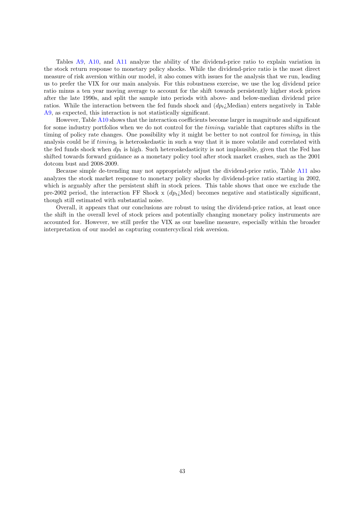Tables A9, A10, and A11 analyze the ability of the dividend-price ratio to explain variation in the stock return response to monetary policy shocks. While the dividend-price ratio is the most direct measure of risk aversion within our model, it also comes with issues for the analysis that we run, leading us to prefer the VIX for our main analysis. For this robustness exercise, we use the log dividend price ratio minus a ten year moving average to account for the shift towards persistently higher stock prices after the late 1990s, and split the sample into periods with above- and below-median dividend price ratios. While the interaction between the fed funds shock and  $(dp_t)$  Median) enters negatively in Table A9, as expected, this interaction is not statistically significant.

However, Table A10 shows that the interaction coefficients become larger in magnitude and significant for some industry portfolios when we do not control for the  $t$ *iming<sub>t</sub>* variable that captures shifts in the timing of policy rate changes. One possibility why it might be better to not control for  $t_{i}$  in this analysis could be if  $t$ *iming<sub>t</sub>* is heteroskedastic in such a way that it is more volatile and correlated with the fed funds shock when  $dp_t$  is high. Such heteroskedasticity is not implausible, given that the Fed has shifted towards forward guidance as a monetary policy tool after stock market crashes, such as the 2001 dotcom bust and 2008-2009.

Because simple de-trending may not appropriately adjust the dividend-price ratio, Table A11 also analyzes the stock market response to monetary policy shocks by dividend-price ratio starting in 2002, which is arguably after the persistent shift in stock prices. This table shows that once we exclude the pre-2002 period, the interaction FF Shock x  $(dp_t$ . Med) becomes negative and statistically significant, though still estimated with substantial noise.

Overall, it appears that our conclusions are robust to using the dividend-price ratios, at least once the shift in the overall level of stock prices and potentially changing monetary policy instruments are accounted for. However, we still prefer the VIX as our baseline measure, especially within the broader interpretation of our model as capturing countercyclical risk aversion.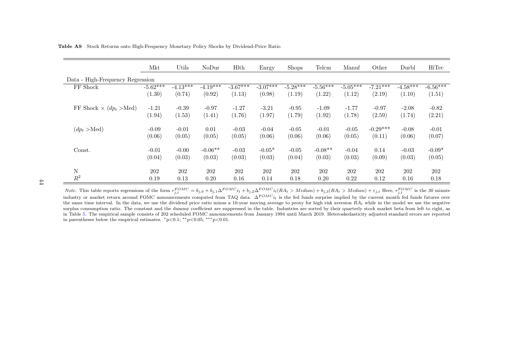|                                          | Mkt        | Utils      | NoDur      | $\rm Hlth$ | Enrgy      | <b>Shops</b> | Telcm      | Manuf      | Other      | Durbl      | HiTec      |
|------------------------------------------|------------|------------|------------|------------|------------|--------------|------------|------------|------------|------------|------------|
| Data - High-Frequency Regression         |            |            |            |            |            |              |            |            |            |            |            |
| FF Shock                                 | $-5.62***$ | $-4.13***$ | $-4.19***$ | $-3.67***$ | $-3.07***$ | $-5.28***$   | $-5.56***$ | $-5.05***$ | $-7.21***$ | $-4.58***$ | $-6.56***$ |
|                                          | (1.30)     | (0.74)     | (0.92)     | (1.13)     | (0.98)     | (1.19)       | (1.22)     | (1.12)     | (2.19)     | (1.10)     | (1.51)     |
| FF Shock $\times$ (dp <sub>t</sub> >Med) | $-1.21$    | $-0.39$    | $-0.97$    | $-1.27$    | $-3.21$    | $-0.95$      | $-1.09$    | $-1.77$    | $-0.97$    | $-2.08$    | $-0.82$    |
|                                          | (1.94)     | (1.53)     | (1.41)     | (1.76)     | (1.97)     | (1.79)       | (1.92)     | (1.78)     | (2.59)     | (1.74)     | (2.21)     |
| $(dp_t > Med)$                           | $-0.09$    | $-0.01$    | 0.01       | $-0.03$    | $-0.04$    | $-0.05$      | $-0.01$    | $-0.05$    | $-0.29***$ | $-0.08$    | $-0.01$    |
|                                          | (0.06)     | (0.05)     | (0.05)     | (0.05)     | (0.06)     | (0.06)       | (0.06)     | (0.05)     | (0.11)     | (0.06)     | (0.07)     |
| Const.                                   | $-0.01$    | $-0.00$    | $-0.06**$  | $-0.03$    | $-0.05*$   | $-0.05$      | $-0.08**$  | $-0.04$    | 0.14       | $-0.03$    | $-0.09*$   |
|                                          | (0.04)     | (0.03)     | (0.03)     | (0.03)     | (0.03)     | (0.04)       | (0.03)     | (0.03)     | (0.09)     | (0.03)     | (0.05)     |
| ${\rm N}$                                | 202        | 202        | 202        | 202        | 202        | 202          | 202        | 202        | 202        | 202        | 202        |
| $R^2$                                    | 0.19       | 0.13       | 0.20       | 0.16       | 0.14       | 0.18         | 0.20       | 0.22       | 0.12       | 0.16       | 0.18       |

Table A9 Stock Returns onto High-Frequency Monetary Policy Shocks by Dividend-Price Ratio

 $\pm4$ 

*Note:* This table reports regressions of the form  $r_{j,t}^{FOMC} = b_{j,0} + b_{j,1} \Delta^{FOMC} i_t + b_{j,2} \Delta^{FOMC} i_t (RA_t > Median) + b_{j,3} (RA_t > Median) + \varepsilon_{j,t}$  Here,  $r_{j,t}^{FOMC}$  is the 30 minute industry or market return around FOMC announcements co the same time interval. In the data, we use the dividend price ratio minus a 10-year moving average to proxy for high risk aversion  $RA_t$  while in the model we use the negative surplus consumption ratio. The constant and the dummy coefficient are suppressed in the table. Industries are sorted by their quarterly stock market beta from left to right, as in Table 5. The empirical sample consists of <sup>202</sup> scheduled FOMC announcements from January <sup>1994</sup> until March 2019. Heteroskedasticity adjusted standard errors are reportedin parentheses below the empirical estimates. <sup>∗</sup>p<0.1; ∗∗p<0.05; ∗∗∗p<0.01.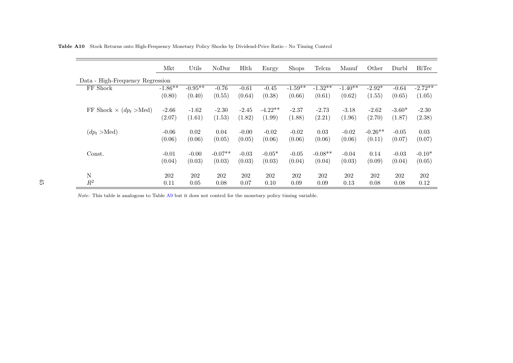|                                          | Mkt        | Utils      | NoDur     | Hlth    | Enrgy     | <b>Shops</b> | Telcm     | Manuf     | Other     | Durbl    | HiTec     |
|------------------------------------------|------------|------------|-----------|---------|-----------|--------------|-----------|-----------|-----------|----------|-----------|
| Data - High-Frequency Regression         |            |            |           |         |           |              |           |           |           |          |           |
| FF Shock                                 | $-1.86***$ | $-0.95***$ | $-0.76$   | $-0.61$ | $-0.45$   | $-1.59**$    | $-1.32**$ | $-1.40**$ | $-2.92*$  | $-0.64$  | $-2.72**$ |
|                                          | (0.80)     | (0.40)     | (0.55)    | (0.64)  | (0.38)    | (0.66)       | (0.61)    | (0.62)    | (1.55)    | (0.65)   | (1.05)    |
| FF Shock $\times$ (dp <sub>t</sub> >Med) | $-2.66$    | $-1.62$    | $-2.30$   | $-2.45$ | $-4.22**$ | $-2.37$      | $-2.73$   | $-3.18$   | $-2.62$   | $-3.60*$ | $-2.30$   |
|                                          | (2.07)     | (1.61)     | (1.53)    | (1.82)  | (1.99)    | (1.88)       | (2.21)    | (1.96)    | (2.70)    | (1.87)   | (2.38)    |
| $(dp_t > Med)$                           | $-0.06$    | 0.02       | 0.04      | $-0.00$ | $-0.02$   | $-0.02$      | 0.03      | $-0.02$   | $-0.26**$ | $-0.05$  | 0.03      |
|                                          | (0.06)     | (0.06)     | (0.05)    | (0.05)  | (0.06)    | (0.06)       | (0.06)    | (0.06)    | (0.11)    | (0.07)   | (0.07)    |
| Const.                                   | $-0.01$    | $-0.00$    | $-0.07**$ | $-0.03$ | $-0.05*$  | $-0.05$      | $-0.08**$ | $-0.04$   | 0.14      | $-0.03$  | $-0.10*$  |
|                                          | (0.04)     | (0.03)     | (0.03)    | (0.03)  | (0.03)    | (0.04)       | (0.04)    | (0.03)    | (0.09)    | (0.04)   | (0.05)    |
| $\mathbf N$                              | 202        | 202        | 202       | 202     | 202       | 202          | 202       | 202       | 202       | 202      | 202       |
| $\mathbb{R}^2$                           | 0.11       | 0.05       | 0.08      | 0.07    | 0.10      | 0.09         | 0.09      | 0.13      | 0.08      | 0.08     | 0.12      |

Table A10 Stock Returns onto High-Frequency Monetary Policy Shocks by Dividend-Price Ratio - No Timing Control

Note: This table is analogous to Table A9 but it does not control for the monetary policy timing variable.

 $\overline{\phantom{a}}$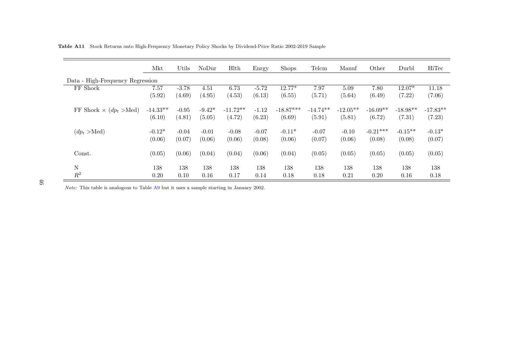|                                          | Mkt        | Utils   | NoDur    | <b>H</b> lth | Enrgy   | <b>Shops</b> | Telcm      | Manuf      | Other      | Durbl      | HiTec      |
|------------------------------------------|------------|---------|----------|--------------|---------|--------------|------------|------------|------------|------------|------------|
| Data - High-Frequency Regression         |            |         |          |              |         |              |            |            |            |            |            |
| FF Shock                                 | 7.57       | $-3.78$ | 4.51     | 6.73         | $-5.72$ | $12.77*$     | 7.97       | 5.09       | 7.80       | $12.07*$   | 11.18      |
|                                          | (5.92)     | (4.69)  | (4.95)   | (4.53)       | (6.13)  | (6.55)       | (5.71)     | (5.64)     | (6.49)     | (7.22)     | (7.06)     |
| FF Shock $\times$ (dp <sub>t</sub> >Med) | $-14.33**$ | $-0.95$ | $-9.42*$ | $-11.72**$   | $-1.12$ | $-18.87***$  | $-14.74**$ | $-12.05**$ | $-16.09**$ | $-18.98**$ | $-17.83**$ |
|                                          | (6.10)     | (4.81)  | (5.05)   | (4.72)       | (6.23)  | (6.69)       | (5.91)     | (5.81)     | (6.72)     | (7.31)     | (7.23)     |
| $(dp_t > Med)$                           | $-0.12*$   | $-0.04$ | $-0.01$  | $-0.08$      | $-0.07$ | $-0.11*$     | $-0.07$    | $-0.10$    | $-0.21***$ | $-0.15**$  | $-0.13*$   |
|                                          | (0.06)     | (0.07)  | (0.06)   | (0.06)       | (0.08)  | (0.06)       | (0.07)     | (0.06)     | (0.08)     | (0.08)     | (0.07)     |
| Const.                                   | (0.05)     | (0.06)  | (0.04)   | (0.04)       | (0.06)  | (0.04)       | (0.05)     | (0.05)     | (0.05)     | (0.05)     | (0.05)     |
| ${\bf N}$                                | 138        | 138     | 138      | 138          | 138     | 138          | 138        | 138        | 138        | 138        | 138        |
| $R^2$                                    | 0.20       | 0.10    | 0.16     | 0.17         | 0.14    | 0.18         | 0.18       | 0.21       | 0.20       | 0.16       | 0.18       |

Table A11 Stock Returns onto High-Frequency Monetary Policy Shocks by Dividend-Price Ratio 2002-2019 Sample

Note: This table is analogous to Table A9 but it uses a sample starting in January 2002.